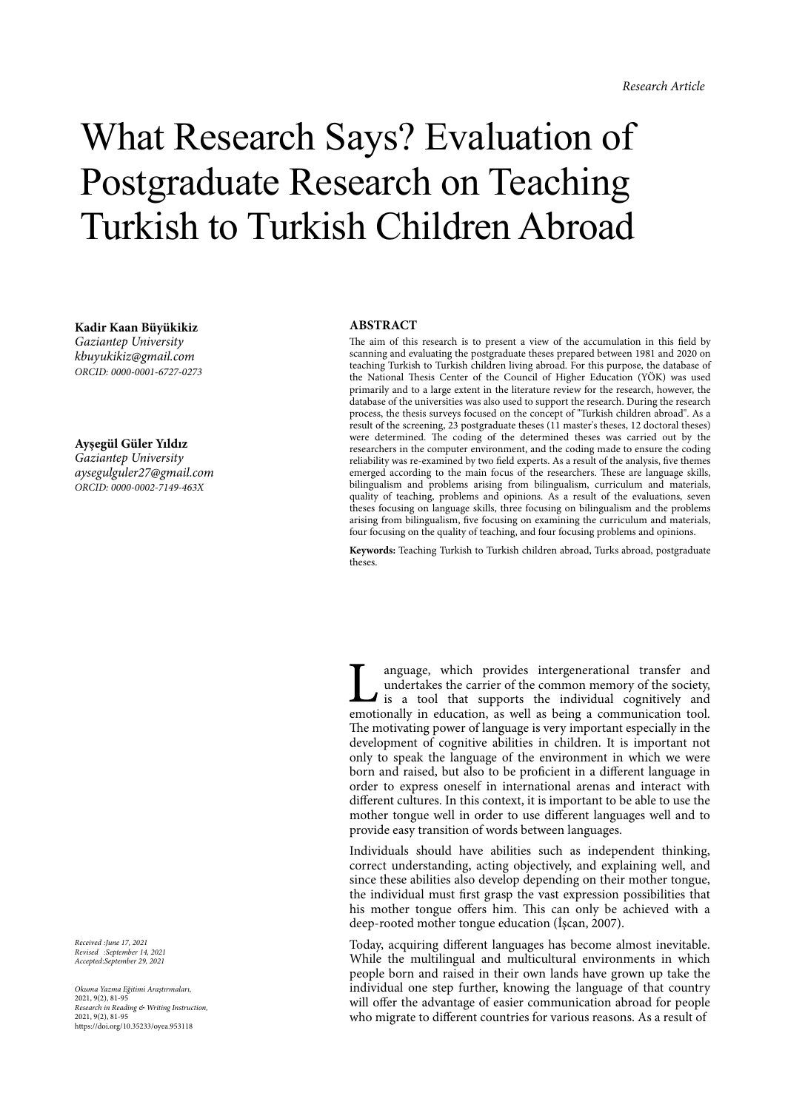## What Research Says? Evaluation of Postgraduate Research on Teaching Turkish to Turkish Children Abroad

**Kadir Kaan Büyükikiz** *Gaziantep University kbuyukikiz@gmail.com ORCID: 0000-0001-6727-0273*

**Ayşegül Güler Yıldız** *Gaziantep University aysegulguler27@gmail.com ORCID: 0000-0002-7149-463X*

*Received :June 17, 2021 Revised :September 14, 2021 Accepted:September 29, 2021*

*Okuma Yazma E*ğ*itimi Ara*ş*tırmaları,* 2021, 9(2), 81-95 *Research in Reading & Writing Instruction,* 2021, 9(2), 81-95 https://doi.org/10.35233/oyea.953118

## **ABSTRACT**

The aim of this research is to present a view of the accumulation in this field by scanning and evaluating the postgraduate theses prepared between 1981 and 2020 on teaching Turkish to Turkish children living abroad. For this purpose, the database of the National Thesis Center of the Council of Higher Education (YÖK) was used primarily and to a large extent in the literature review for the research, however, the database of the universities was also used to support the research. During the research process, the thesis surveys focused on the concept of "Turkish children abroad". As a result of the screening, 23 postgraduate theses (11 master's theses, 12 doctoral theses) were determined. The coding of the determined theses was carried out by the researchers in the computer environment, and the coding made to ensure the coding reliability was re-examined by two field experts. As a result of the analysis, five themes emerged according to the main focus of the researchers. These are language skills, bilingualism and problems arising from bilingualism, curriculum and materials, quality of teaching, problems and opinions. As a result of the evaluations, seven theses focusing on language skills, three focusing on bilingualism and the problems arising from bilingualism, five focusing on examining the curriculum and materials, four focusing on the quality of teaching, and four focusing problems and opinions.

**Keywords:** Teaching Turkish to Turkish children abroad, Turks abroad, postgraduate theses.

anguage, which provides intergenerational transfer and undertakes the carrier of the common memory of the society,  $\blacksquare$  is a tool that supports the individual cognitively and emotionally in education, as well as being a communication tool. The motivating power of language is very important especially in the development of cognitive abilities in children. It is important not only to speak the language of the environment in which we were born and raised, but also to be proficient in a different language in order to express oneself in international arenas and interact with different cultures. In this context, it is important to be able to use the mother tongue well in order to use different languages well and to provide easy transition of words between languages.

Individuals should have abilities such as independent thinking, correct understanding, acting objectively, and explaining well, and since these abilities also develop depending on their mother tongue, the individual must first grasp the vast expression possibilities that his mother tongue offers him. This can only be achieved with a deep-rooted mother tongue education (İşcan, 2007).

Today, acquiring different languages has become almost inevitable. While the multilingual and multicultural environments in which people born and raised in their own lands have grown up take the individual one step further, knowing the language of that country will offer the advantage of easier communication abroad for people who migrate to different countries for various reasons. As a result of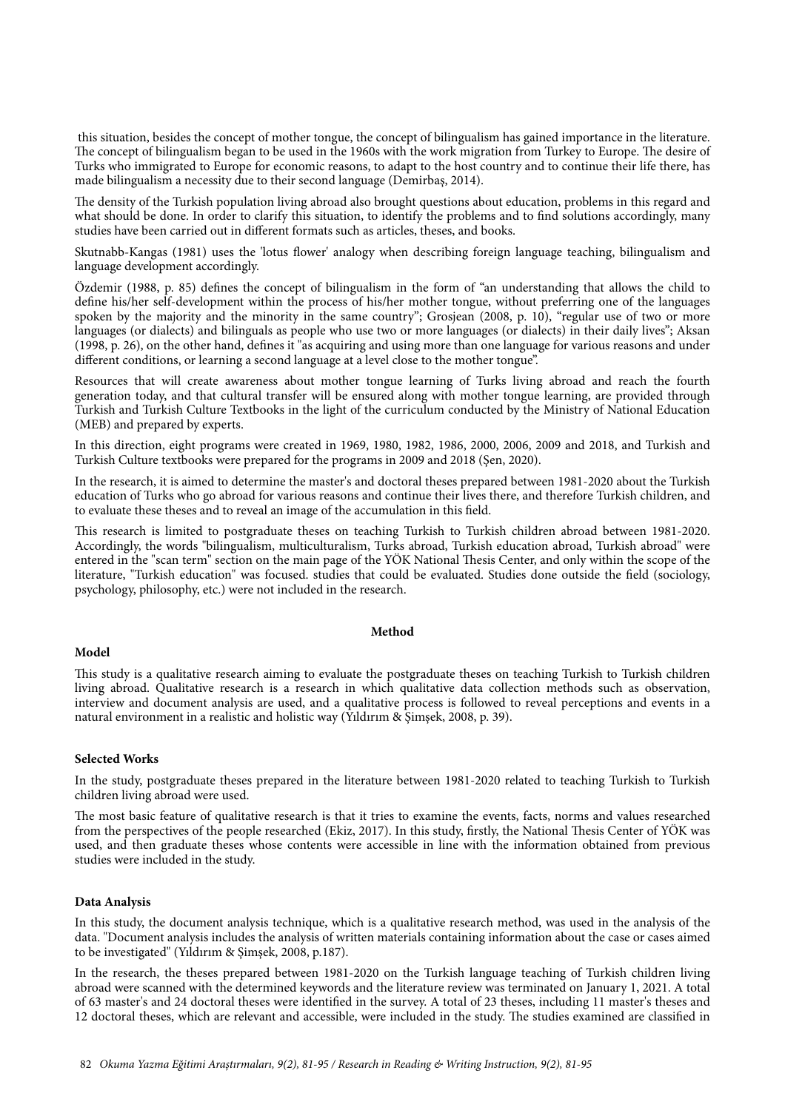this situation, besides the concept of mother tongue, the concept of bilingualism has gained importance in the literature. The concept of bilingualism began to be used in the 1960s with the work migration from Turkey to Europe. The desire of Turks who immigrated to Europe for economic reasons, to adapt to the host country and to continue their life there, has made bilingualism a necessity due to their second language (Demirbaş, 2014).

The density of the Turkish population living abroad also brought questions about education, problems in this regard and what should be done. In order to clarify this situation, to identify the problems and to find solutions accordingly, many studies have been carried out in different formats such as articles, theses, and books.

Skutnabb-Kangas (1981) uses the 'lotus flower' analogy when describing foreign language teaching, bilingualism and language development accordingly.

Özdemir (1988, p. 85) defines the concept of bilingualism in the form of "an understanding that allows the child to define his/her self-development within the process of his/her mother tongue, without preferring one of the languages spoken by the majority and the minority in the same country"; Grosjean (2008, p. 10), "regular use of two or more languages (or dialects) and bilinguals as people who use two or more languages (or dialects) in their daily lives"; Aksan (1998, p. 26), on the other hand, defines it "as acquiring and using more than one language for various reasons and under different conditions, or learning a second language at a level close to the mother tongue".

Resources that will create awareness about mother tongue learning of Turks living abroad and reach the fourth generation today, and that cultural transfer will be ensured along with mother tongue learning, are provided through Turkish and Turkish Culture Textbooks in the light of the curriculum conducted by the Ministry of National Education (MEB) and prepared by experts.

In this direction, eight programs were created in 1969, 1980, 1982, 1986, 2000, 2006, 2009 and 2018, and Turkish and Turkish Culture textbooks were prepared for the programs in 2009 and 2018 (Şen, 2020).

In the research, it is aimed to determine the master's and doctoral theses prepared between 1981-2020 about the Turkish education of Turks who go abroad for various reasons and continue their lives there, and therefore Turkish children, and to evaluate these theses and to reveal an image of the accumulation in this field.

This research is limited to postgraduate theses on teaching Turkish to Turkish children abroad between 1981-2020. Accordingly, the words "bilingualism, multiculturalism, Turks abroad, Turkish education abroad, Turkish abroad" were entered in the "scan term" section on the main page of the YÖK National Thesis Center, and only within the scope of the literature, "Turkish education" was focused. studies that could be evaluated. Studies done outside the field (sociology, psychology, philosophy, etc.) were not included in the research.

### **Method**

#### **Model**

This study is a qualitative research aiming to evaluate the postgraduate theses on teaching Turkish to Turkish children living abroad. Qualitative research is a research in which qualitative data collection methods such as observation, interview and document analysis are used, and a qualitative process is followed to reveal perceptions and events in a natural environment in a realistic and holistic way (Yıldırım & Şimşek, 2008, p. 39).

## **Selected Works**

In the study, postgraduate theses prepared in the literature between 1981-2020 related to teaching Turkish to Turkish children living abroad were used.

The most basic feature of qualitative research is that it tries to examine the events, facts, norms and values researched from the perspectives of the people researched (Ekiz, 2017). In this study, firstly, the National Thesis Center of YÖK was used, and then graduate theses whose contents were accessible in line with the information obtained from previous studies were included in the study.

#### **Data Analysis**

In this study, the document analysis technique, which is a qualitative research method, was used in the analysis of the data. "Document analysis includes the analysis of written materials containing information about the case or cases aimed to be investigated" (Yıldırım & Şimşek, 2008, p.187).

In the research, the theses prepared between 1981-2020 on the Turkish language teaching of Turkish children living abroad were scanned with the determined keywords and the literature review was terminated on January 1, 2021. A total of 63 master's and 24 doctoral theses were identified in the survey. A total of 23 theses, including 11 master's theses and 12 doctoral theses, which are relevant and accessible, were included in the study. The studies examined are classified in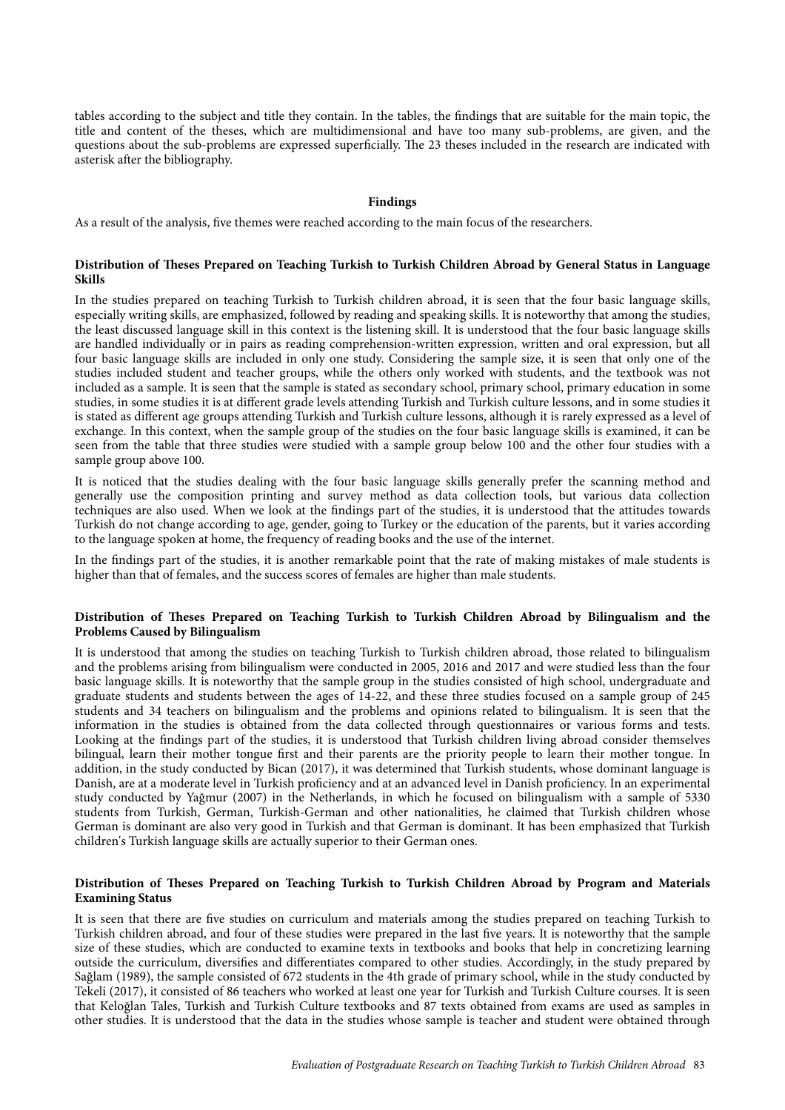tables according to the subject and title they contain. In the tables, the findings that are suitable for the main topic, the title and content of the theses, which are multidimensional and have too many sub-problems, are given, and the questions about the sub-problems are expressed superficially. The 23 theses included in the research are indicated with asterisk after the bibliography.

## **Findings**

As a result of the analysis, five themes were reached according to the main focus of the researchers.

## **Distribution of Theses Prepared on Teaching Turkish to Turkish Children Abroad by General Status in Language Skills**

In the studies prepared on teaching Turkish to Turkish children abroad, it is seen that the four basic language skills, especially writing skills, are emphasized, followed by reading and speaking skills. It is noteworthy that among the studies, the least discussed language skill in this context is the listening skill. It is understood that the four basic language skills are handled individually or in pairs as reading comprehension-written expression, written and oral expression, but all four basic language skills are included in only one study. Considering the sample size, it is seen that only one of the studies included student and teacher groups, while the others only worked with students, and the textbook was not included as a sample. It is seen that the sample is stated as secondary school, primary school, primary education in some studies, in some studies it is at different grade levels attending Turkish and Turkish culture lessons, and in some studies it is stated as different age groups attending Turkish and Turkish culture lessons, although it is rarely expressed as a level of exchange. In this context, when the sample group of the studies on the four basic language skills is examined, it can be seen from the table that three studies were studied with a sample group below 100 and the other four studies with a sample group above 100.

It is noticed that the studies dealing with the four basic language skills generally prefer the scanning method and generally use the composition printing and survey method as data collection tools, but various data collection techniques are also used. When we look at the findings part of the studies, it is understood that the attitudes towards Turkish do not change according to age, gender, going to Turkey or the education of the parents, but it varies according to the language spoken at home, the frequency of reading books and the use of the internet.

In the findings part of the studies, it is another remarkable point that the rate of making mistakes of male students is higher than that of females, and the success scores of females are higher than male students.

#### **Distribution of Theses Prepared on Teaching Turkish to Turkish Children Abroad by Bilingualism and the Problems Caused by Bilingualism**

It is understood that among the studies on teaching Turkish to Turkish children abroad, those related to bilingualism and the problems arising from bilingualism were conducted in 2005, 2016 and 2017 and were studied less than the four basic language skills. It is noteworthy that the sample group in the studies consisted of high school, undergraduate and graduate students and students between the ages of 14-22, and these three studies focused on a sample group of 245 students and 34 teachers on bilingualism and the problems and opinions related to bilingualism. It is seen that the information in the studies is obtained from the data collected through questionnaires or various forms and tests. Looking at the findings part of the studies, it is understood that Turkish children living abroad consider themselves bilingual, learn their mother tongue first and their parents are the priority people to learn their mother tongue. In addition, in the study conducted by Bican (2017), it was determined that Turkish students, whose dominant language is Danish, are at a moderate level in Turkish proficiency and at an advanced level in Danish proficiency. In an experimental study conducted by Yağmur (2007) in the Netherlands, in which he focused on bilingualism with a sample of 5330 students from Turkish, German, Turkish-German and other nationalities, he claimed that Turkish children whose German is dominant are also very good in Turkish and that German is dominant. It has been emphasized that Turkish children's Turkish language skills are actually superior to their German ones.

## **Distribution of Theses Prepared on Teaching Turkish to Turkish Children Abroad by Program and Materials Examining Status**

It is seen that there are five studies on curriculum and materials among the studies prepared on teaching Turkish to Turkish children abroad, and four of these studies were prepared in the last five years. It is noteworthy that the sample size of these studies, which are conducted to examine texts in textbooks and books that help in concretizing learning outside the curriculum, diversifies and differentiates compared to other studies. Accordingly, in the study prepared by Sağlam (1989), the sample consisted of 672 students in the 4th grade of primary school, while in the study conducted by Tekeli (2017), it consisted of 86 teachers who worked at least one year for Turkish and Turkish Culture courses. It is seen that Keloğlan Tales, Turkish and Turkish Culture textbooks and 87 texts obtained from exams are used as samples in other studies. It is understood that the data in the studies whose sample is teacher and student were obtained through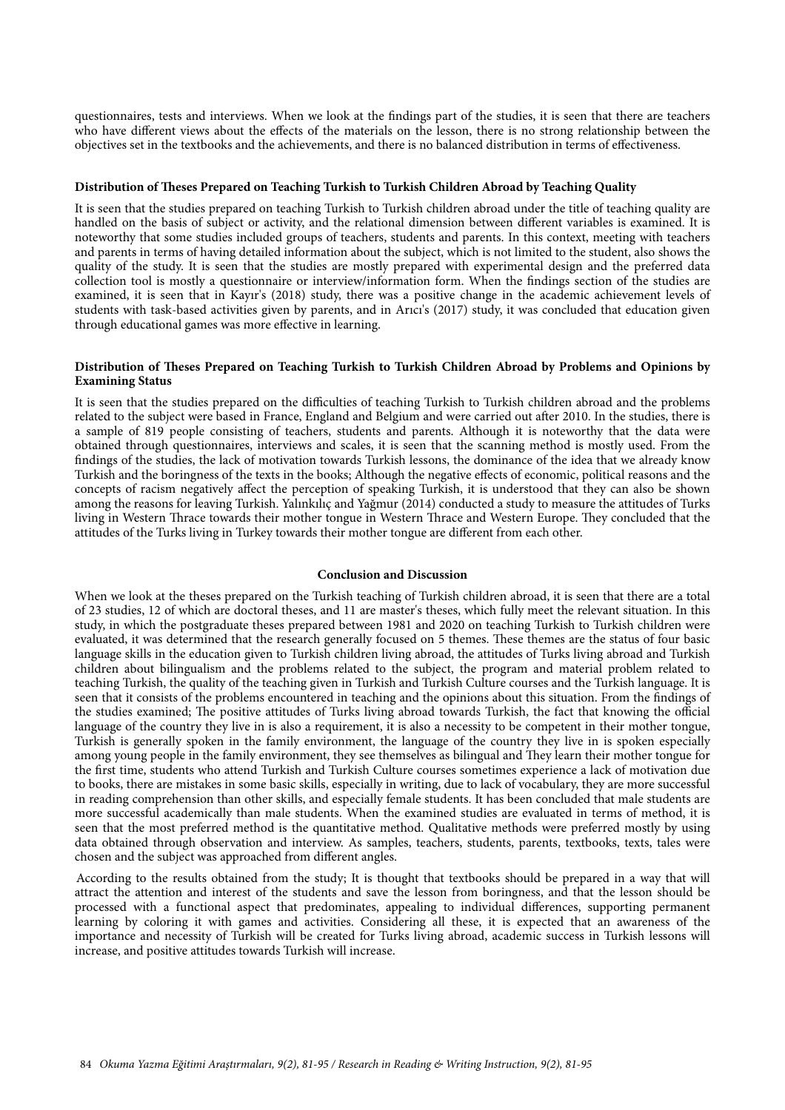questionnaires, tests and interviews. When we look at the findings part of the studies, it is seen that there are teachers who have different views about the effects of the materials on the lesson, there is no strong relationship between the objectives set in the textbooks and the achievements, and there is no balanced distribution in terms of effectiveness.

## **Distribution of Theses Prepared on Teaching Turkish to Turkish Children Abroad by Teaching Quality**

It is seen that the studies prepared on teaching Turkish to Turkish children abroad under the title of teaching quality are handled on the basis of subject or activity, and the relational dimension between different variables is examined. It is noteworthy that some studies included groups of teachers, students and parents. In this context, meeting with teachers and parents in terms of having detailed information about the subject, which is not limited to the student, also shows the quality of the study. It is seen that the studies are mostly prepared with experimental design and the preferred data collection tool is mostly a questionnaire or interview/information form. When the findings section of the studies are examined, it is seen that in Kayır's (2018) study, there was a positive change in the academic achievement levels of students with task-based activities given by parents, and in Arıcı's (2017) study, it was concluded that education given through educational games was more effective in learning.

## **Distribution of Theses Prepared on Teaching Turkish to Turkish Children Abroad by Problems and Opinions by Examining Status**

It is seen that the studies prepared on the difficulties of teaching Turkish to Turkish children abroad and the problems related to the subject were based in France, England and Belgium and were carried out after 2010. In the studies, there is a sample of 819 people consisting of teachers, students and parents. Although it is noteworthy that the data were obtained through questionnaires, interviews and scales, it is seen that the scanning method is mostly used. From the findings of the studies, the lack of motivation towards Turkish lessons, the dominance of the idea that we already know Turkish and the boringness of the texts in the books; Although the negative effects of economic, political reasons and the concepts of racism negatively affect the perception of speaking Turkish, it is understood that they can also be shown among the reasons for leaving Turkish. Yalınkılıç and Yağmur (2014) conducted a study to measure the attitudes of Turks living in Western Thrace towards their mother tongue in Western Thrace and Western Europe. They concluded that the attitudes of the Turks living in Turkey towards their mother tongue are different from each other.

## **Conclusion and Discussion**

When we look at the theses prepared on the Turkish teaching of Turkish children abroad, it is seen that there are a total of 23 studies, 12 of which are doctoral theses, and 11 are master's theses, which fully meet the relevant situation. In this study, in which the postgraduate theses prepared between 1981 and 2020 on teaching Turkish to Turkish children were evaluated, it was determined that the research generally focused on 5 themes. These themes are the status of four basic language skills in the education given to Turkish children living abroad, the attitudes of Turks living abroad and Turkish children about bilingualism and the problems related to the subject, the program and material problem related to teaching Turkish, the quality of the teaching given in Turkish and Turkish Culture courses and the Turkish language. It is seen that it consists of the problems encountered in teaching and the opinions about this situation. From the findings of the studies examined; The positive attitudes of Turks living abroad towards Turkish, the fact that knowing the official language of the country they live in is also a requirement, it is also a necessity to be competent in their mother tongue, Turkish is generally spoken in the family environment, the language of the country they live in is spoken especially among young people in the family environment, they see themselves as bilingual and They learn their mother tongue for the first time, students who attend Turkish and Turkish Culture courses sometimes experience a lack of motivation due to books, there are mistakes in some basic skills, especially in writing, due to lack of vocabulary, they are more successful in reading comprehension than other skills, and especially female students. It has been concluded that male students are more successful academically than male students. When the examined studies are evaluated in terms of method, it is seen that the most preferred method is the quantitative method. Qualitative methods were preferred mostly by using data obtained through observation and interview. As samples, teachers, students, parents, textbooks, texts, tales were chosen and the subject was approached from different angles.

According to the results obtained from the study; It is thought that textbooks should be prepared in a way that will attract the attention and interest of the students and save the lesson from boringness, and that the lesson should be processed with a functional aspect that predominates, appealing to individual differences, supporting permanent learning by coloring it with games and activities. Considering all these, it is expected that an awareness of the importance and necessity of Turkish will be created for Turks living abroad, academic success in Turkish lessons will increase, and positive attitudes towards Turkish will increase.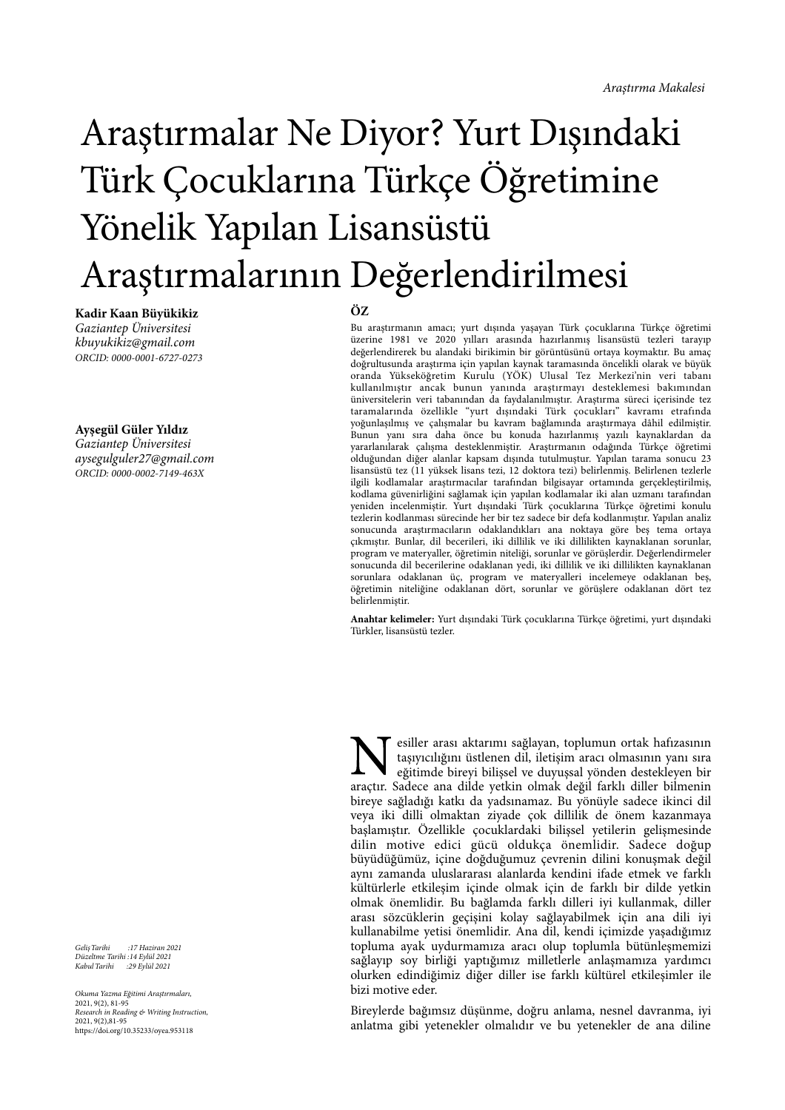# Araştırmalar Ne Diyor? Yurt Dışındaki Türk Çocuklarına Türkçe Öğretimine Yönelik Yapılan Lisansüstü Araştırmalarının Değerlendirilmesi

**Kadir Kaan Büyükikiz** *Gaziantep Üniversitesi kbuyukikiz@gmail.com ORCID: 0000-0001-6727-0273*

#### **Ayşegül Güler Yıldız**

*Gaziantep Üniversitesi aysegulguler27@gmail.com ORCID: 0000-0002-7149-463X*

*Geli*ş*Tarihi :17 Haziran 2021 Düzeltme Tarihi :14 Eylül 2021 Kabul Tarihi :29 Eylül 2021*

*Okuma Yazma E*ğ*itimi Ara*ş*tırmaları,* 2021, 9(2), 81-95 *Research in Reading & Writing Instruction,* 2021, 9(2),81-95 https://doi.org/10.35233/oyea.953118

## **ÖZ**

Bu araştırmanın amacı; yurt dışında yaşayan Türk çocuklarına Türkçe öğretimi üzerine 1981 ve 2020 yılları arasında hazırlanmış lisansüstü tezleri tarayıp değerlendirerek bu alandaki birikimin bir görüntüsünü ortaya koymaktır. Bu amaç doğrultusunda araştırma için yapılan kaynak taramasında öncelikli olarak ve büyük oranda Yükseköğretim Kurulu (YÖK) Ulusal Tez Merkezi'nin veri tabanı kullanılmıştır ancak bunun yanında araştırmayı desteklemesi bakımından üniversitelerin veri tabanından da faydalanılmıştır. Araştırma süreci içerisinde tez taramalarında özellikle "yurt dışındaki Türk çocukları" kavramı etrafında yoğunlaşılmış ve çalışmalar bu kavram bağlamında araştırmaya dâhil edilmiştir. Bunun yanı sıra daha önce bu konuda hazırlanmış yazılı kaynaklardan da yararlanılarak çalışma desteklenmiştir. Araştırmanın odağında Türkçe öğretimi olduğundan diğer alanlar kapsam dışında tutulmuştur. Yapılan tarama sonucu 23 lisansüstü tez (11 yüksek lisans tezi, 12 doktora tezi) belirlenmiş. Belirlenen tezlerle ilgili kodlamalar araştırmacılar tarafından bilgisayar ortamında gerçekleştirilmiş, kodlama güvenirliğini sağlamak için yapılan kodlamalar iki alan uzmanı tarafından yeniden incelenmiştir. Yurt dışındaki Türk çocuklarına Türkçe öğretimi konulu tezlerin kodlanması sürecinde her bir tez sadece bir defa kodlanmıştır. Yapılan analiz sonucunda araştırmacıların odaklandıkları ana noktaya göre beş tema ortaya çıkmıştır. Bunlar, dil becerileri, iki dillilik ve iki dillilikten kaynaklanan sorunlar, program ve materyaller, öğretimin niteliği, sorunlar ve görüşlerdir. Değerlendirmeler sonucunda dil becerilerine odaklanan yedi, iki dillilik ve iki dillilikten kaynaklanan sorunlara odaklanan üç, program ve materyalleri incelemeye odaklanan beş, öğretimin niteliğine odaklanan dört, sorunlar ve görüşlere odaklanan dört tez belirlenmiştir.

**Anahtar kelimeler:** Yurt dışındaki Türk çocuklarına Türkçe öğretimi, yurt dışındaki Türkler, lisansüstü tezler.

esiller arası aktarımı sağlayan, toplumun ortak hafızasının taşıyıcılığını üstlenen dil, iletişim aracı olmasının yanı sıra eğitimde bireyi bilişsel ve duyuşsal yönden destekleyen bir araçtır. Sadece ana dilde yetkin olmak değil farklı diller bilmenin bireye sağladığı katkı da yadsınamaz. Bu yönüyle sadece ikinci dil veya iki dilli olmaktan ziyade çok dillilik de önem kazanmaya başlamıştır. Özellikle çocuklardaki bilişsel yetilerin gelişmesinde dilin motive edici gücü oldukça önemlidir. Sadece doğup büyüdüğümüz, içine doğduğumuz çevrenin dilini konuşmak değil aynı zamanda uluslararası alanlarda kendini ifade etmek ve farklı kültürlerle etkileşim içinde olmak için de farklı bir dilde yetkin olmak önemlidir. Bu bağlamda farklı dilleri iyi kullanmak, diller arası sözcüklerin geçişini kolay sağlayabilmek için ana dili iyi kullanabilme yetisi önemlidir. Ana dil, kendi içimizde yaşadığımız topluma ayak uydurmamıza aracı olup toplumla bütünleşmemizi sağlayıp soy birliği yaptığımız milletlerle anlaşmamıza yardımcı olurken edindiğimiz diğer diller ise farklı kültürel etkileşimler ile bizi motive eder.

Bireylerde bağımsız düşünme, doğru anlama, nesnel davranma, iyi anlatma gibi yetenekler olmalıdır ve bu yetenekler de ana diline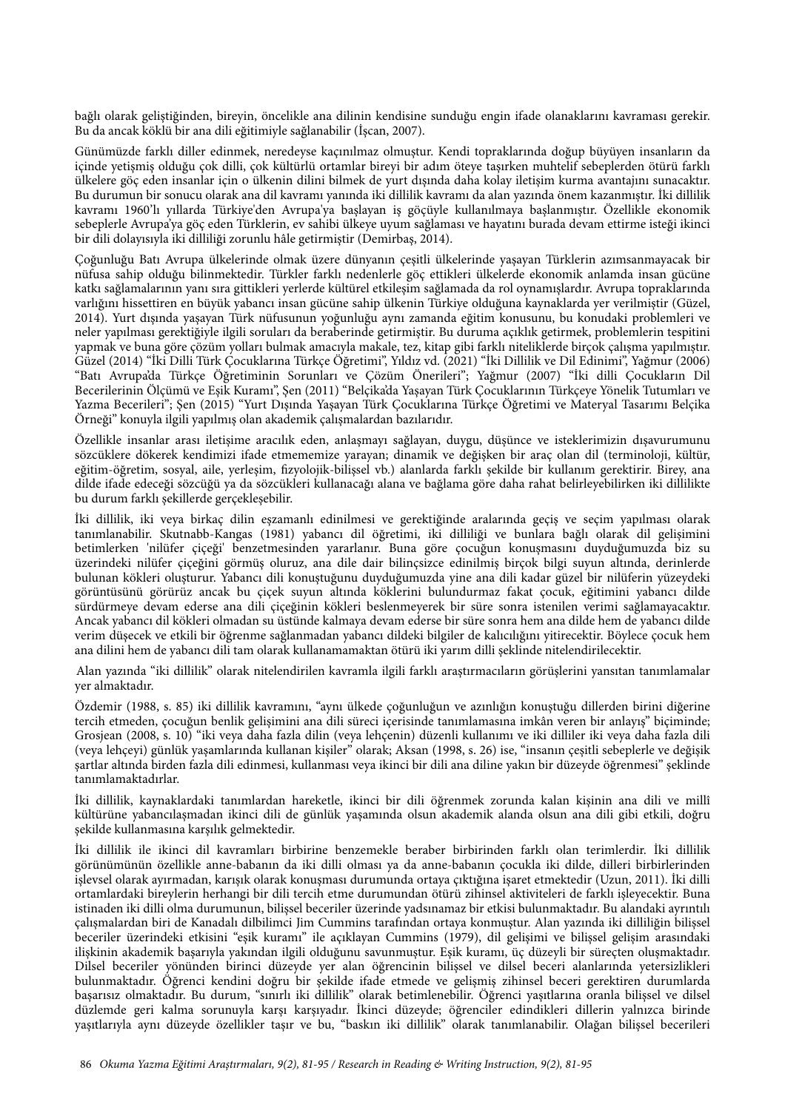bağlı olarak geliştiğinden, bireyin, öncelikle ana dilinin kendisine sunduğu engin ifade olanaklarını kavraması gerekir. Bu da ancak köklü bir ana dili eğitimiyle sağlanabilir (İşcan, 2007).

Günümüzde farklı diller edinmek, neredeyse kaçınılmaz olmuştur. Kendi topraklarında doğup büyüyen insanların da içinde yetişmiş olduğu çok dilli, çok kültürlü ortamlar bireyi bir adım öteye taşırken muhtelif sebeplerden ötürü farklı ülkelere göç eden insanlar için o ülkenin dilini bilmek de yurt dışında daha kolay iletişim kurma avantajını sunacaktır. Bu durumun bir sonucu olarak ana dil kavramı yanında iki dillilik kavramı da alan yazında önem kazanmıştır. İki dillilik kavramı 1960'lı yıllarda Türkiye'den Avrupa'ya başlayan iş göçüyle kullanılmaya başlanmıştır. Özellikle ekonomik sebeplerle Avrupa'ya göç eden Türklerin, ev sahibi ülkeye uyum sağlaması ve hayatını burada devam ettirme isteği ikinci bir dili dolayısıyla iki dilliliği zorunlu hâle getirmiştir (Demirbaş, 2014).

Çoğunluğu Batı Avrupa ülkelerinde olmak üzere dünyanın çeşitli ülkelerinde yaşayan Türklerin azımsanmayacak bir nüfusa sahip olduğu bilinmektedir. Türkler farklı nedenlerle göç ettikleri ülkelerde ekonomik anlamda insan gücüne katkı sağlamalarının yanı sıra gittikleri yerlerde kültürel etkileşim sağlamada da rol oynamışlardır. Avrupa topraklarında varlığını hissettiren en büyük yabancı insan gücüne sahip ülkenin Türkiye olduğuna kaynaklarda yer verilmiştir (Güzel, 2014). Yurt dışında yaşayan Türk nüfusunun yoğunluğu aynı zamanda eğitim konusunu, bu konudaki problemleri ve neler yapılması gerektiğiyle ilgili soruları da beraberinde getirmiştir. Bu duruma açıklık getirmek, problemlerin tespitini yapmak ve buna göre çözüm yolları bulmak amacıyla makale, tez, kitap gibi farklı niteliklerde birçok çalışma yapılmıştır. Güzel (2014) "İki Dilli Türk Çocuklarına Türkçe Öğretimi", Yıldız vd. (2021) "İki Dillilik ve Dil Edinimi", Yağmur (2006) "Batı Avrupa'da Türkçe Öğretiminin Sorunları ve Çözüm Önerileri"; Yağmur (2007) "İki dilli Çocukların Dil Becerilerinin Ölçümü ve Eşik Kuramı", Şen (2011) "Belçika'da Yaşayan Türk Çocuklarının Türkçeye Yönelik Tutumları ve Yazma Becerileri"; Şen (2015) "Yurt Dışında Yaşayan Türk Çocuklarına Türkçe Öğretimi ve Materyal Tasarımı Belçika Örneği" konuyla ilgili yapılmış olan akademik çalışmalardan bazılarıdır.

Özellikle insanlar arası iletişime aracılık eden, anlaşmayı sağlayan, duygu, düşünce ve isteklerimizin dışavurumunu sözcüklere dökerek kendimizi ifade etmememize yarayan; dinamik ve değişken bir araç olan dil (terminoloji, kültür, eğitim-öğretim, sosyal, aile, yerleşim, fizyolojik-bilişsel vb.) alanlarda farklı şekilde bir kullanım gerektirir. Birey, ana dilde ifade edeceği sözcüğü ya da sözcükleri kullanacağı alana ve bağlama göre daha rahat belirleyebilirken iki dillilikte bu durum farklı şekillerde gerçekleşebilir.

İki dillilik, iki veya birkaç dilin eşzamanlı edinilmesi ve gerektiğinde aralarında geçiş ve seçim yapılması olarak tanımlanabilir. Skutnabb-Kangas (1981) yabancı dil öğretimi, iki dilliliği ve bunlara bağlı olarak dil gelişimini betimlerken 'nilüfer çiçeği' benzetmesinden yararlanır. Buna göre çocuğun konuşmasını duyduğumuzda biz su üzerindeki nilüfer çiçeğini görmüş oluruz, ana dile dair bilinçsizce edinilmiş birçok bilgi suyun altında, derinlerde bulunan kökleri oluşturur. Yabancı dili konuştuğunu duyduğumuzda yine ana dili kadar güzel bir nilüferin yüzeydeki görüntüsünü görürüz ancak bu çiçek suyun altında köklerini bulundurmaz fakat çocuk, eğitimini yabancı dilde sürdürmeye devam ederse ana dili çiçeğinin kökleri beslenmeyerek bir süre sonra istenilen verimi sağlamayacaktır. Ancak yabancı dil kökleri olmadan su üstünde kalmaya devam ederse bir süre sonra hem ana dilde hem de yabancı dilde verim düşecek ve etkili bir öğrenme sağlanmadan yabancı dildeki bilgiler de kalıcılığını yitirecektir. Böylece çocuk hem ana dilini hem de yabancı dili tam olarak kullanamamaktan ötürü iki yarım dilli şeklinde nitelendirilecektir.

Alan yazında "iki dillilik" olarak nitelendirilen kavramla ilgili farklı araştırmacıların görüşlerini yansıtan tanımlamalar yer almaktadır.

Özdemir (1988, s. 85) iki dillilik kavramını, "aynı ülkede çoğunluğun ve azınlığın konuştuğu dillerden birini diğerine tercih etmeden, çocuğun benlik gelişimini ana dili süreci içerisinde tanımlamasına imkân veren bir anlayış" biçiminde; Grosjean (2008, s. 10) "iki veya daha fazla dilin (veya lehçenin) düzenli kullanımı ve iki dilliler iki veya daha fazla dili (veya lehçeyi) günlük yaşamlarında kullanan kişiler" olarak; Aksan (1998, s. 26) ise, "insanın çeşitli sebeplerle ve değişik şartlar altında birden fazla dili edinmesi, kullanması veya ikinci bir dili ana diline yakın bir düzeyde öğrenmesi" şeklinde tanımlamaktadırlar.

İki dillilik, kaynaklardaki tanımlardan hareketle, ikinci bir dili öğrenmek zorunda kalan kişinin ana dili ve millî kültürüne yabancılaşmadan ikinci dili de günlük yaşamında olsun akademik alanda olsun ana dili gibi etkili, doğru şekilde kullanmasına karşılık gelmektedir.

İki dillilik ile ikinci dil kavramları birbirine benzemekle beraber birbirinden farklı olan terimlerdir. İki dillilik görünümünün özellikle anne-babanın da iki dilli olması ya da anne-babanın çocukla iki dilde, dilleri birbirlerinden işlevsel olarak ayırmadan, karışık olarak konuşması durumunda ortaya çıktığına işaret etmektedir (Uzun, 2011). İki dilli ortamlardaki bireylerin herhangi bir dili tercih etme durumundan ötürü zihinsel aktiviteleri de farklı işleyecektir. Buna istinaden iki dilli olma durumunun, bilişsel beceriler üzerinde yadsınamaz bir etkisi bulunmaktadır. Bu alandaki ayrıntılı çalışmalardan biri de Kanadalı dilbilimci Jim Cummins tarafından ortaya konmuştur. Alan yazında iki dilliliğin bilişsel beceriler üzerindeki etkisini "eşik kuramı" ile açıklayan Cummins (1979), dil gelişimi ve bilişsel gelişim arasındaki ilişkinin akademik başarıyla yakından ilgili olduğunu savunmuştur. Eşik kuramı, üç düzeyli bir süreçten oluşmaktadır. Dilsel beceriler yönünden birinci düzeyde yer alan öğrencinin bilişsel ve dilsel beceri alanlarında yetersizlikleri bulunmaktadır. Öğrenci kendini doğru bir şekilde ifade etmede ve gelişmiş zihinsel beceri gerektiren durumlarda başarısız olmaktadır. Bu durum, "sınırlı iki dillilik" olarak betimlenebilir. Öğrenci yaşıtlarına oranla bilişsel ve dilsel düzlemde geri kalma sorunuyla karşı karşıyadır. İkinci düzeyde; öğrenciler edindikleri dillerin yalnızca birinde yaşıtlarıyla aynı düzeyde özellikler taşır ve bu, "baskın iki dillilik" olarak tanımlanabilir. Olağan bilişsel becerileri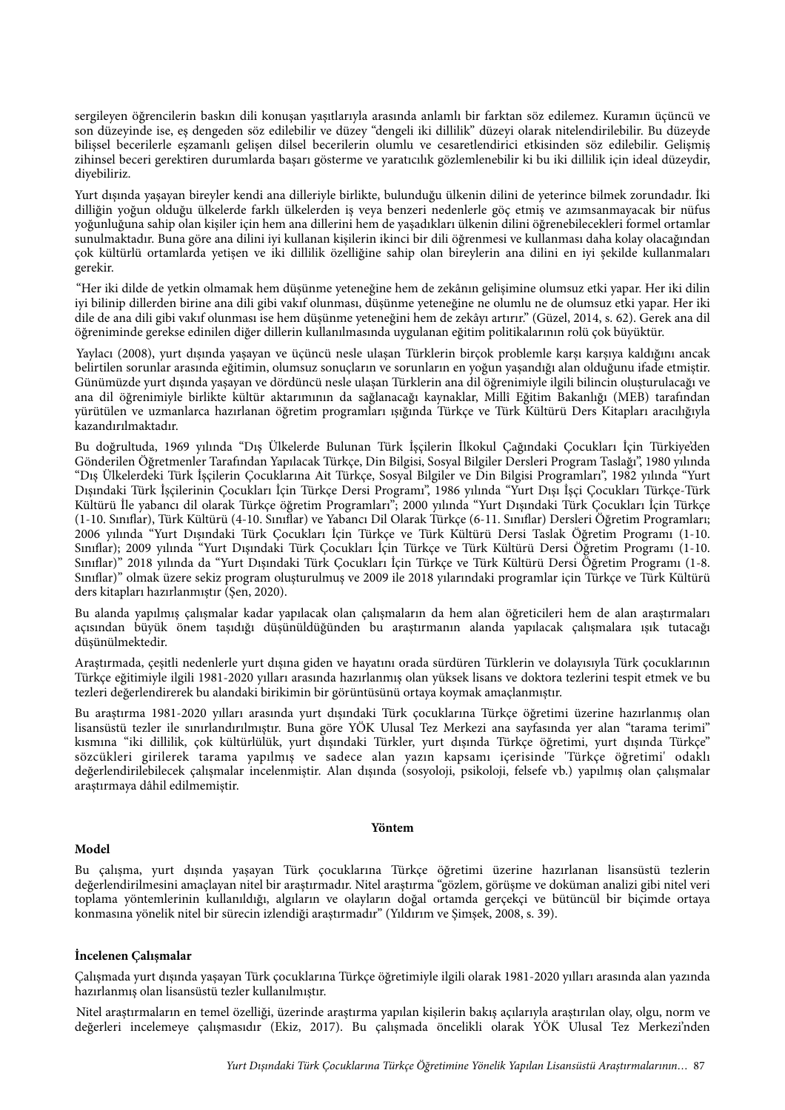sergileyen öğrencilerin baskın dili konuşan yaşıtlarıyla arasında anlamlı bir farktan söz edilemez. Kuramın üçüncü ve son düzeyinde ise, eş dengeden söz edilebilir ve düzey "dengeli iki dillilik" düzeyi olarak nitelendirilebilir. Bu düzeyde bilişsel becerilerle eşzamanlı gelişen dilsel becerilerin olumlu ve cesaretlendirici etkisinden söz edilebilir. Gelişmiş zihinsel beceri gerektiren durumlarda başarı gösterme ve yaratıcılık gözlemlenebilir ki bu iki dillilik için ideal düzeydir, diyebiliriz.

Yurt dışında yaşayan bireyler kendi ana dilleriyle birlikte, bulunduğu ülkenin dilini de yeterince bilmek zorundadır. İki dilliğin yoğun olduğu ülkelerde farklı ülkelerden iş veya benzeri nedenlerle göç etmiş ve azımsanmayacak bir nüfus yoğunluğuna sahip olan kişiler için hem ana dillerini hem de yaşadıkları ülkenin dilini öğrenebilecekleri formel ortamlar sunulmaktadır. Buna göre ana dilini iyi kullanan kişilerin ikinci bir dili öğrenmesi ve kullanması daha kolay olacağından çok kültürlü ortamlarda yetişen ve iki dillilik özelliğine sahip olan bireylerin ana dilini en iyi şekilde kullanmaları gerekir.

"Her iki dilde de yetkin olmamak hem düşünme yeteneğine hem de zekânın gelişimine olumsuz etki yapar. Her iki dilin iyi bilinip dillerden birine ana dili gibi vakıf olunması, düşünme yeteneğine ne olumlu ne de olumsuz etki yapar. Her iki dile de ana dili gibi vakıf olunması ise hem düşünme yeteneğini hem de zekâyı artırır." (Güzel, 2014, s. 62). Gerek ana dil öğreniminde gerekse edinilen diğer dillerin kullanılmasında uygulanan eğitim politikalarının rolü çok büyüktür.

Yaylacı (2008), yurt dışında yaşayan ve üçüncü nesle ulaşan Türklerin birçok problemle karşı karşıya kaldığını ancak belirtilen sorunlar arasında eğitimin, olumsuz sonuçların ve sorunların en yoğun yaşandığı alan olduğunu ifade etmiştir. Günümüzde yurt dışında yaşayan ve dördüncü nesle ulaşan Türklerin ana dil öğrenimiyle ilgili bilincin oluşturulacağı ve ana dil öğrenimiyle birlikte kültür aktarımının da sağlanacağı kaynaklar, Millî Eğitim Bakanlığı (MEB) tarafından yürütülen ve uzmanlarca hazırlanan öğretim programları ışığında Türkçe ve Türk Kültürü Ders Kitapları aracılığıyla kazandırılmaktadır.

Bu doğrultuda, 1969 yılında "Dış Ülkelerde Bulunan Türk İşçilerin İlkokul Çağındaki Çocukları İçin Türkiye'den Gönderilen Öğretmenler Tarafından Yapılacak Türkçe, Din Bilgisi, Sosyal Bilgiler Dersleri Program Taslağı", 1980 yılında "Dış Ülkelerdeki Türk İşçilerin Çocuklarına Ait Türkçe, Sosyal Bilgiler ve Din Bilgisi Programları", 1982 yılında "Yurt Dışındaki Türk İşçilerinin Çocukları İçin Türkçe Dersi Programı", 1986 yılında "Yurt Dışı İşçi Çocukları Türkçe-Türk Kültürü İle yabancı dil olarak Türkçe öğretim Programları"; 2000 yılında "Yurt Dışındaki Türk Çocukları İçin Türkçe (1-10. Sınıflar), Türk Kültürü (4-10. Sınıflar) ve Yabancı Dil Olarak Türkçe (6-11. Sınıflar) Dersleri Öğretim Programları; 2006 yılında "Yurt Dışındaki Türk Çocukları İçin Türkçe ve Türk Kültürü Dersi Taslak Öğretim Programı (1-10. Sınıflar); 2009 yılında "Yurt Dışındaki Türk Çocukları İçin Türkçe ve Türk Kültürü Dersi Öğretim Programı (1-10. Sınıflar)" 2018 yılında da "Yurt Dışındaki Türk Çocukları İçin Türkçe ve Türk Kültürü Dersi Öğretim Programı (1-8. Sınıflar)" olmak üzere sekiz program oluşturulmuş ve 2009 ile 2018 yılarındaki programlar için Türkçe ve Türk Kültürü ders kitapları hazırlanmıştır (Şen, 2020).

Bu alanda yapılmış çalışmalar kadar yapılacak olan çalışmaların da hem alan öğreticileri hem de alan araştırmaları açısından büyük önem taşıdığı düşünüldüğünden bu araştırmanın alanda yapılacak çalışmalara ışık tutacağı düşünülmektedir.

Araştırmada, çeşitli nedenlerle yurt dışına giden ve hayatını orada sürdüren Türklerin ve dolayısıyla Türk çocuklarının Türkçe eğitimiyle ilgili 1981-2020 yılları arasında hazırlanmış olan yüksek lisans ve doktora tezlerini tespit etmek ve bu tezleri değerlendirerek bu alandaki birikimin bir görüntüsünü ortaya koymak amaçlanmıştır.

Bu araştırma 1981-2020 yılları arasında yurt dışındaki Türk çocuklarına Türkçe öğretimi üzerine hazırlanmış olan lisansüstü tezler ile sınırlandırılmıştır. Buna göre YÖK Ulusal Tez Merkezi ana sayfasında yer alan "tarama terimi" kısmına "iki dillilik, çok kültürlülük, yurt dışındaki Türkler, yurt dışında Türkçe öğretimi, yurt dışında Türkçe" sözcükleri girilerek tarama yapılmış ve sadece alan yazın kapsamı içerisinde 'Türkçe öğretimi' odaklı değerlendirilebilecek çalışmalar incelenmiştir. Alan dışında (sosyoloji, psikoloji, felsefe vb.) yapılmış olan çalışmalar araştırmaya dâhil edilmemiştir.

#### **Yöntem**

#### **Model**

Bu çalışma, yurt dışında yaşayan Türk çocuklarına Türkçe öğretimi üzerine hazırlanan lisansüstü tezlerin değerlendirilmesini amaçlayan nitel bir araştırmadır. Nitel araştırma "gözlem, görüşme ve doküman analizi gibi nitel veri toplama yöntemlerinin kullanıldığı, algıların ve olayların doğal ortamda gerçekçi ve bütüncül bir biçimde ortaya konmasına yönelik nitel bir sürecin izlendiği araştırmadır" (Yıldırım ve Şimşek, 2008, s. 39).

#### **İncelenen Çalışmalar**

Çalışmada yurt dışında yaşayan Türk çocuklarına Türkçe öğretimiyle ilgili olarak 1981-2020 yılları arasında alan yazında hazırlanmış olan lisansüstü tezler kullanılmıştır.

Nitel araştırmaların en temel özelliği, üzerinde araştırma yapılan kişilerin bakış açılarıyla araştırılan olay, olgu, norm ve değerleri incelemeye çalışmasıdır (Ekiz, 2017). Bu çalışmada öncelikli olarak YÖK Ulusal Tez Merkezi'nden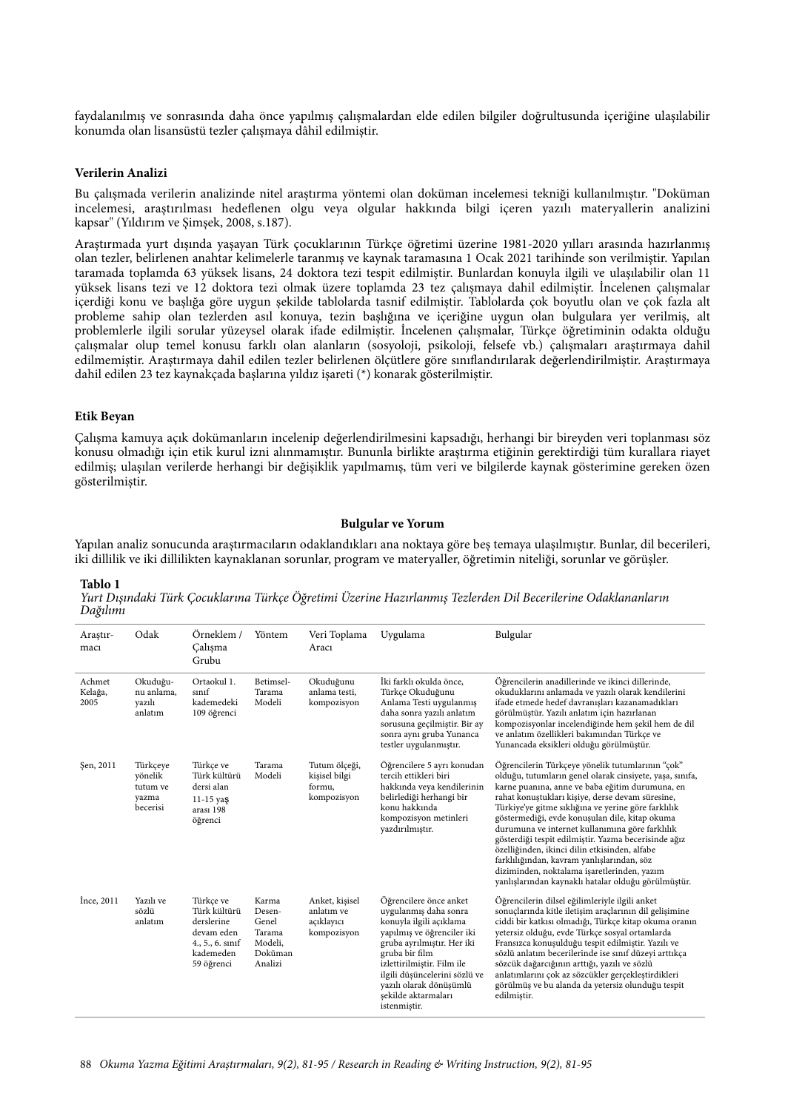faydalanılmış ve sonrasında daha önce yapılmış çalışmalardan elde edilen bilgiler doğrultusunda içeriğine ulaşılabilir konumda olan lisansüstü tezler çalışmaya dâhil edilmiştir.

#### **Verilerin Analizi**

Bu çalışmada verilerin analizinde nitel araştırma yöntemi olan doküman incelemesi tekniği kullanılmıştır. "Doküman incelemesi, araştırılması hedeflenen olgu veya olgular hakkında bilgi içeren yazılı materyallerin analizini kapsar" (Yıldırım ve Şimşek, 2008, s.187).

Araştırmada yurt dışında yaşayan Türk çocuklarının Türkçe öğretimi üzerine 1981-2020 yılları arasında hazırlanmış olan tezler, belirlenen anahtar kelimelerle taranmış ve kaynak taramasına 1 Ocak 2021 tarihinde son verilmiştir. Yapılan taramada toplamda 63 yüksek lisans, 24 doktora tezi tespit edilmiştir. Bunlardan konuyla ilgili ve ulaşılabilir olan 11 yüksek lisans tezi ve 12 doktora tezi olmak üzere toplamda 23 tez çalışmaya dahil edilmiştir. İncelenen çalışmalar içerdiği konu ve başlığa göre uygun şekilde tablolarda tasnif edilmiştir. Tablolarda çok boyutlu olan ve çok fazla alt probleme sahip olan tezlerden asıl konuya, tezin başlığına ve içeriğine uygun olan bulgulara yer verilmiş, alt problemlerle ilgili sorular yüzeysel olarak ifade edilmiştir. İncelenen çalışmalar, Türkçe öğretiminin odakta olduğu çalışmalar olup temel konusu farklı olan alanların (sosyoloji, psikoloji, felsefe vb.) çalışmaları araştırmaya dahil edilmemiştir. Araştırmaya dahil edilen tezler belirlenen ölçütlere göre sınıflandırılarak değerlendirilmiştir. Araştırmaya dahil edilen 23 tez kaynakçada başlarına yıldız işareti (\*) konarak gösterilmiştir.

#### **Etik Beyan**

Çalışma kamuya açık dokümanların incelenip değerlendirilmesini kapsadığı, herhangi bir bireyden veri toplanması söz konusu olmadığı için etik kurul izni alınmamıştır. Bununla birlikte araştırma etiğinin gerektirdiği tüm kurallara riayet edilmiş; ulaşılan verilerde herhangi bir değişiklik yapılmamış, tüm veri ve bilgilerde kaynak gösterimine gereken özen gösterilmiştir.

#### **Bulgular ve Yorum**

Yapılan analiz sonucunda araştırmacıların odaklandıkları ana noktaya göre beş temaya ulaşılmıştır. Bunlar, dil becerileri, iki dillilik ve iki dillilikten kaynaklanan sorunlar, program ve materyaller, öğretimin niteliği, sorunlar ve görüşler.

#### **Tablo 1**

*Yurt Dı*ş*ındaki Türk Çocuklarına Türkçe Ö*ğ*retimi Üzerine Hazırlanmı*ş *Tezlerden Dil Becerilerine Odaklananların Da*ğ*ılımı*

| Araştır-<br>macı          | Odak                                                 | Örneklem /<br>Çalışma<br>Grubu                                                                         | Yöntem                                                              | Veri Toplama<br>Aracı                                     | Uygulama                                                                                                                                                                                                                                                                                  | Bulgular                                                                                                                                                                                                                                                                                                                                                                                                                                                                                                                                                                                                                                     |
|---------------------------|------------------------------------------------------|--------------------------------------------------------------------------------------------------------|---------------------------------------------------------------------|-----------------------------------------------------------|-------------------------------------------------------------------------------------------------------------------------------------------------------------------------------------------------------------------------------------------------------------------------------------------|----------------------------------------------------------------------------------------------------------------------------------------------------------------------------------------------------------------------------------------------------------------------------------------------------------------------------------------------------------------------------------------------------------------------------------------------------------------------------------------------------------------------------------------------------------------------------------------------------------------------------------------------|
| Achmet<br>Kelağa,<br>2005 | Okuduğu-<br>nu anlama,<br>yazılı<br>anlatım          | Ortaokul 1.<br>sinif<br>kademedeki<br>109 öğrenci                                                      | Betimsel-<br>Tarama<br>Modeli                                       | Okuduğunu<br>anlama testi,<br>kompozisyon                 | İki farklı okulda önce,<br>Türkçe Okuduğunu<br>Anlama Testi uygulanmış<br>daha sonra yazılı anlatım<br>sorusuna geçilmiştir. Bir ay<br>sonra aynı gruba Yunanca<br>testler uygulanmıştır.                                                                                                 | Öğrencilerin anadillerinde ve ikinci dillerinde,<br>okuduklarını anlamada ve yazılı olarak kendilerini<br>ifade etmede hedef davranışları kazanamadıkları<br>görülmüştür. Yazılı anlatım için hazırlanan<br>kompozisyonlar incelendiğinde hem şekil hem de dil<br>ve anlatım özellikleri bakımından Türkçe ve<br>Yunancada eksikleri olduğu görülmüştür.                                                                                                                                                                                                                                                                                     |
| Şen, 2011                 | Türkçeye<br>yönelik<br>tutum ve<br>yazma<br>becerisi | Türkçe ve<br>Türk kültürü<br>dersi alan<br>$11-15$ yaş<br>arası 198<br>öğrenci                         | Tarama<br>Modeli                                                    | Tutum ölçeği,<br>kişisel bilgi<br>formu,<br>kompozisyon   | Öğrencilere 5 ayrı konudan<br>tercih ettikleri biri<br>hakkında veya kendilerinin<br>belirlediği herhangi bir<br>konu hakkında<br>kompozisyon metinleri<br>yazdırılmıştır.                                                                                                                | Öğrencilerin Türkçeye yönelik tutumlarının "çok"<br>olduğu, tutumların genel olarak cinsiyete, yaşa, sınıfa,<br>karne puanına, anne ve baba eğitim durumuna, en<br>rahat konuştukları kişiye, derse devam süresine,<br>Türkiye'ye gitme sıklığına ve yerine göre farklılık<br>göstermediği, evde konuşulan dile, kitap okuma<br>durumuna ve internet kullanımına göre farklılık<br>gösterdiği tespit edilmiştir. Yazma becerisinde ağız<br>özelliğinden, ikinci dilin etkisinden, alfabe<br>farklılığından, kavram yanlışlarından, söz<br>diziminden, noktalama işaretlerinden, yazım<br>yanlışlarından kaynaklı hatalar olduğu görülmüştür. |
| Ince, 2011                | Yazılı ve<br>sözlü<br>anlatım                        | Türkçe ve<br>Türk kültürü<br>derslerine<br>devam eden<br>$4., 5., 6.$ sinif<br>kademeden<br>59 öğrenci | Karma<br>Desen-<br>Genel<br>Tarama<br>Modeli,<br>Doküman<br>Analizi | Anket, kisisel<br>anlatım ve<br>açıklayıcı<br>kompozisyon | Öğrencilere önce anket<br>uygulanmış daha sonra<br>konuyla ilgili açıklama<br>yapılmış ve öğrenciler iki<br>gruba ayrılmıştır. Her iki<br>gruba bir film<br>izlettirilmiştir. Film ile<br>ilgili düşüncelerini sözlü ve<br>yazılı olarak dönüşümlü<br>sekilde aktarmaları<br>istenmiştir. | Öğrencilerin dilsel eğilimleriyle ilgili anket<br>sonuçlarında kitle iletişim araçlarının dil gelişimine<br>ciddi bir katkısı olmadığı, Türkçe kitap okuma oranın<br>yetersiz olduğu, evde Türkçe sosyal ortamlarda<br>Fransızca konuşulduğu tespit edilmiştir. Yazılı ve<br>sözlü anlatım becerilerinde ise sınıf düzeyi arttıkça<br>sözcük dağarcığının arttığı, yazılı ve sözlü<br>anlatımlarını çok az sözcükler gerçekleştirdikleri<br>görülmüş ve bu alanda da yetersiz olunduğu tespit<br>edilmistir.                                                                                                                                 |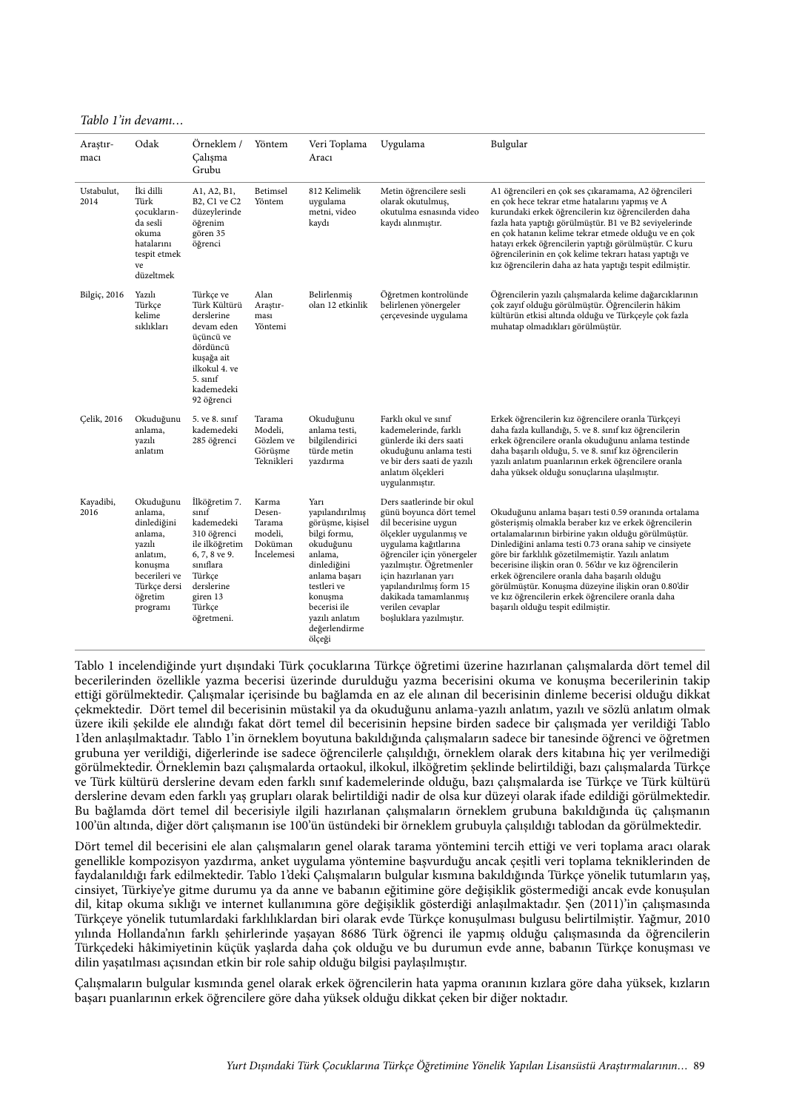#### *Tablo 1'in devamı…*

| Araştır-<br>macı   | Odak                                                                                                                                    | Örneklem /<br>Calışma<br>Grubu                                                                                                                                  | Yöntem                                                        | Veri Toplama<br>Aracı                                                                                                                                                                                      | Uygulama                                                                                                                                                                                                                                                                                                           | Bulgular                                                                                                                                                                                                                                                                                                                                                                                                                                                                                                                                         |
|--------------------|-----------------------------------------------------------------------------------------------------------------------------------------|-----------------------------------------------------------------------------------------------------------------------------------------------------------------|---------------------------------------------------------------|------------------------------------------------------------------------------------------------------------------------------------------------------------------------------------------------------------|--------------------------------------------------------------------------------------------------------------------------------------------------------------------------------------------------------------------------------------------------------------------------------------------------------------------|--------------------------------------------------------------------------------------------------------------------------------------------------------------------------------------------------------------------------------------------------------------------------------------------------------------------------------------------------------------------------------------------------------------------------------------------------------------------------------------------------------------------------------------------------|
| Ustabulut,<br>2014 | İki dilli<br>Türk<br>cocukların-<br>da sesli<br>okuma<br>hatalarını<br>tespit etmek<br>ve<br>düzeltmek                                  | A1, A2, B1,<br>B2, C1 ve C2<br>düzeylerinde<br>öğrenim<br>gören 35<br>öğrenci                                                                                   | Betimsel<br>Yöntem                                            | 812 Kelimelik<br>uygulama<br>metni, video<br>kaydı                                                                                                                                                         | Metin öğrencilere sesli<br>olarak okutulmuş,<br>okutulma esnasında video<br>kaydı alınmıştır.                                                                                                                                                                                                                      | A1 öğrencileri en çok ses çıkaramama, A2 öğrencileri<br>en çok hece tekrar etme hatalarını yapmış ve A<br>kurundaki erkek öğrencilerin kız öğrencilerden daha<br>fazla hata yaptığı görülmüştür. B1 ve B2 seviyelerinde<br>en çok hatanın kelime tekrar etmede olduğu ve en çok<br>hatayı erkek öğrencilerin yaptığı görülmüştür. C kuru<br>öğrencilerinin en çok kelime tekrarı hatası yaptığı ve<br>kız öğrencilerin daha az hata yaptığı tespit edilmiştir.                                                                                   |
| Bilgiç, 2016       | Yazılı<br>Türkce<br>kelime<br>sıklıkları                                                                                                | Türkçe ve<br>Türk Kültürü<br>derslerine<br>devam eden<br>üçüncü ve<br>dördüncü<br>kuşağa ait<br>ilkokul 4. ve<br>$5. \text{snnf}$<br>kademedeki<br>92 öğrenci   | Alan<br>Araştır-<br>ması<br>Yöntemi                           | Belirlenmiş<br>olan 12 etkinlik                                                                                                                                                                            | Öğretmen kontrolünde<br>belirlenen yönergeler<br>çerçevesinde uygulama                                                                                                                                                                                                                                             | Öğrencilerin yazılı çalışmalarda kelime dağarcıklarının<br>çok zayıf olduğu görülmüştür. Öğrencilerin hâkim<br>kültürün etkisi altında olduğu ve Türkçeyle çok fazla<br>muhatap olmadıkları görülmüştür.                                                                                                                                                                                                                                                                                                                                         |
| Celik, 2016        | Okuduğunu<br>anlama,<br>yazılı<br>anlatım                                                                                               | 5. ve 8. sinif<br>kademedeki<br>285 öğrenci                                                                                                                     | Tarama<br>Modeli,<br>Gözlem ve<br>Görüşme<br>Teknikleri       | Okuduğunu<br>anlama testi,<br>bilgilendirici<br>türde metin<br>yazdırma                                                                                                                                    | Farklı okul ve sınıf<br>kademelerinde, farklı<br>günlerde iki ders saati<br>okuduğunu anlama testi<br>ve bir ders saati de yazılı<br>anlatım ölçekleri<br>uygulanmıştır.                                                                                                                                           | Erkek öğrencilerin kız öğrencilere oranla Türkçeyi<br>daha fazla kullandığı, 5. ve 8. sınıf kız öğrencilerin<br>erkek öğrencilere oranla okuduğunu anlama testinde<br>daha başarılı olduğu, 5. ve 8. sınıf kız öğrencilerin<br>yazılı anlatım puanlarının erkek öğrencilere oranla<br>daha yüksek olduğu sonuçlarına ulaşılmıştır.                                                                                                                                                                                                               |
| Kayadibi,<br>2016  | Okuduğunu<br>anlama,<br>dinlediğini<br>anlama,<br>yazılı<br>anlatım,<br>konuşma<br>becerileri ve<br>Türkçe dersi<br>öğretim<br>programi | İlköğretim 7.<br>sınıf<br>kademedeki<br>310 öğrenci<br>ile ilköğretim<br>6, 7, 8 ve 9.<br>sınıflara<br>Türkçe<br>derslerine<br>giren 13<br>Türkçe<br>öğretmeni. | Karma<br>Desen-<br>Tarama<br>modeli,<br>Doküman<br>Incelemesi | Yarı<br>yapılandırılmış<br>görüşme, kişisel<br>bilgi formu,<br>okuduğunu<br>anlama,<br>dinlediğini<br>anlama başarı<br>testleri ve<br>konuşma<br>becerisi ile<br>yazılı anlatım<br>değerlendirme<br>ölçeği | Ders saatlerinde bir okul<br>günü boyunca dört temel<br>dil becerisine uygun<br>ölçekler uygulanmış ve<br>uygulama kağıtlarına<br>öğrenciler için yönergeler<br>yazılmıştır. Öğretmenler<br>için hazırlanan yarı<br>yapılandırılmış form 15<br>dakikada tamamlanmış<br>verilen cevaplar<br>boşluklara yazılmıştır. | Okuduğunu anlama başarı testi 0.59 oranında ortalama<br>gösterişmiş olmakla beraber kız ve erkek öğrencilerin<br>ortalamalarının birbirine yakın olduğu görülmüştür.<br>Dinlediğini anlama testi 0.73 orana sahip ve cinsiyete<br>göre bir farklılık gözetilmemiştir. Yazılı anlatım<br>becerisine ilişkin oran 0. 56'dır ve kız öğrencilerin<br>erkek öğrencilere oranla daha başarılı olduğu<br>görülmüştür. Konuşma düzeyine ilişkin oran 0.80'dir<br>ve kız öğrencilerin erkek öğrencilere oranla daha<br>başarılı olduğu tespit edilmiştir. |

Tablo 1 incelendiğinde yurt dışındaki Türk çocuklarına Türkçe öğretimi üzerine hazırlanan çalışmalarda dört temel dil becerilerinden özellikle yazma becerisi üzerinde durulduğu yazma becerisini okuma ve konuşma becerilerinin takip ettiği görülmektedir. Çalışmalar içerisinde bu bağlamda en az ele alınan dil becerisinin dinleme becerisi olduğu dikkat çekmektedir. Dört temel dil becerisinin müstakil ya da okuduğunu anlama-yazılı anlatım, yazılı ve sözlü anlatım olmak üzere ikili şekilde ele alındığı fakat dört temel dil becerisinin hepsine birden sadece bir çalışmada yer verildiği Tablo 1'den anlaşılmaktadır. Tablo 1'in örneklem boyutuna bakıldığında çalışmaların sadece bir tanesinde öğrenci ve öğretmen grubuna yer verildiği, diğerlerinde ise sadece öğrencilerle çalışıldığı, örneklem olarak ders kitabına hiç yer verilmediği görülmektedir. Örneklemin bazı çalışmalarda ortaokul, ilkokul, ilköğretim şeklinde belirtildiği, bazı çalışmalarda Türkçe ve Türk kültürü derslerine devam eden farklı sınıf kademelerinde olduğu, bazı çalışmalarda ise Türkçe ve Türk kültürü derslerine devam eden farklı yaş grupları olarak belirtildiği nadir de olsa kur düzeyi olarak ifade edildiği görülmektedir. Bu bağlamda dört temel dil becerisiyle ilgili hazırlanan çalışmaların örneklem grubuna bakıldığında üç çalışmanın 100'ün altında, diğer dört çalışmanın ise 100'ün üstündeki bir örneklem grubuyla çalışıldığı tablodan da görülmektedir.

Dört temel dil becerisini ele alan çalışmaların genel olarak tarama yöntemini tercih ettiği ve veri toplama aracı olarak genellikle kompozisyon yazdırma, anket uygulama yöntemine başvurduğu ancak çeşitli veri toplama tekniklerinden de faydalanıldığı fark edilmektedir. Tablo 1'deki Çalışmaların bulgular kısmına bakıldığında Türkçe yönelik tutumların yaş, cinsiyet, Türkiye'ye gitme durumu ya da anne ve babanın eğitimine göre değişiklik göstermediği ancak evde konuşulan dil, kitap okuma sıklığı ve internet kullanımına göre değişiklik gösterdiği anlaşılmaktadır. Şen (2011)'in çalışmasında Türkçeye yönelik tutumlardaki farklılıklardan biri olarak evde Türkçe konuşulması bulgusu belirtilmiştir. Yağmur, 2010 yılında Hollanda'nın farklı şehirlerinde yaşayan 8686 Türk öğrenci ile yapmış olduğu çalışmasında da öğrencilerin Türkçedeki hâkimiyetinin küçük yaşlarda daha çok olduğu ve bu durumun evde anne, babanın Türkçe konuşması ve dilin yaşatılması açısından etkin bir role sahip olduğu bilgisi paylaşılmıştır.

Çalışmaların bulgular kısmında genel olarak erkek öğrencilerin hata yapma oranının kızlara göre daha yüksek, kızların başarı puanlarının erkek öğrencilere göre daha yüksek olduğu dikkat çeken bir diğer noktadır.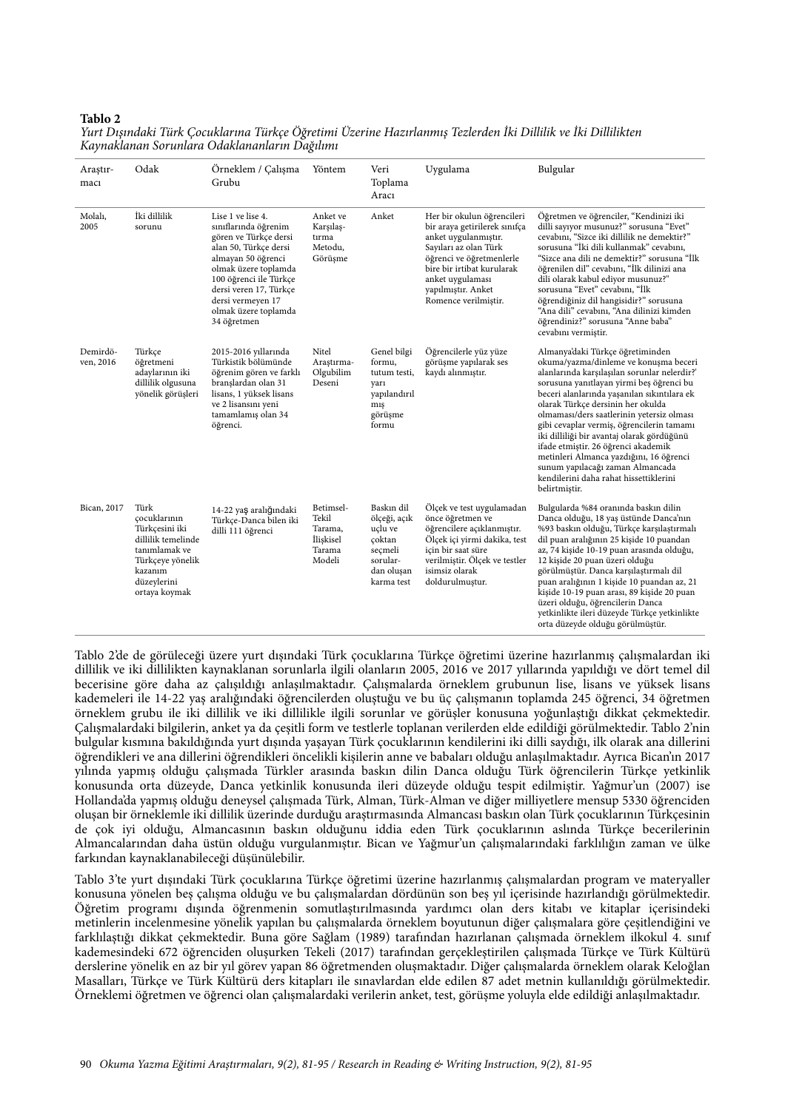#### **Tablo 2**

| Araştır-<br>macı      | Odak                                                                                                                                         | Örneklem / Çalışma<br>Grubu                                                                                                                                                                                                                               | Yöntem                                                         | Veri<br>Toplama<br>Aracı                                                                           | Uygulama                                                                                                                                                                                                                                 | Bulgular                                                                                                                                                                                                                                                                                                                                                                                                                                                                                                                                                                           |
|-----------------------|----------------------------------------------------------------------------------------------------------------------------------------------|-----------------------------------------------------------------------------------------------------------------------------------------------------------------------------------------------------------------------------------------------------------|----------------------------------------------------------------|----------------------------------------------------------------------------------------------------|------------------------------------------------------------------------------------------------------------------------------------------------------------------------------------------------------------------------------------------|------------------------------------------------------------------------------------------------------------------------------------------------------------------------------------------------------------------------------------------------------------------------------------------------------------------------------------------------------------------------------------------------------------------------------------------------------------------------------------------------------------------------------------------------------------------------------------|
| Molalı,<br>2005       | İki dillilik<br>sorunu                                                                                                                       | Lise 1 ve lise 4.<br>sınıflarında öğrenim<br>gören ve Türkçe dersi<br>alan 50, Türkçe dersi<br>almayan 50 öğrenci<br>olmak üzere toplamda<br>100 öğrenci ile Türkçe<br>dersi veren 17, Türkçe<br>dersi vermeyen 17<br>olmak üzere toplamda<br>34 öğretmen | Anket ve<br>Karşılaş-<br>tırma<br>Metodu.<br>Görüşme           | Anket                                                                                              | Her bir okulun öğrencileri<br>bir araya getirilerek sınıfça<br>anket uygulanmıştır.<br>Sayıları az olan Türk<br>öğrenci ve öğretmenlerle<br>bire bir irtibat kurularak<br>anket uygulaması<br>yapılmıştır. Anket<br>Romence verilmiştir. | Öğretmen ve öğrenciler, "Kendinizi iki<br>dilli sayıyor musunuz?" sorusuna "Evet"<br>cevabını, "Sizce iki dillilik ne demektir?"<br>sorusuna "İki dili kullanmak" cevabını,<br>"Sizce ana dili ne demektir?" sorusuna "İlk<br>öğrenilen dil" cevabını, "İlk dilinizi ana<br>dili olarak kabul ediyor musunuz?"<br>sorusuna "Evet" cevabını, "İlk<br>öğrendiğiniz dil hangisidir?" sorusuna<br>"Ana dili" cevabını, "Ana dilinizi kimden<br>öğrendiniz?" sorusuna "Anne baba"<br>cevabını vermiştir.                                                                                |
| Demirdö-<br>ven, 2016 | Türkçe<br>öğretmeni<br>adaylarının iki<br>dillilik olgusuna<br>yönelik görüşleri                                                             | 2015-2016 yıllarında<br>Türkistik bölümünde<br>öğrenim gören ve farklı<br>branşlardan olan 31<br>lisans, 1 yüksek lisans<br>ve 2 lisansını yeni<br>tamamlamış olan 34<br>öğrenci.                                                                         | Nitel<br>Araştırma-<br>Olgubilim<br>Deseni                     | Genel bilgi<br>formu,<br>tutum testi,<br>yarı<br>yapılandırıl<br>mis<br>görüşme<br>formu           | Öğrencilerle yüz yüze<br>görüşme yapılarak ses<br>kaydı alınmıştır.                                                                                                                                                                      | Almanya'daki Türkçe öğretiminden<br>okuma/yazma/dinleme ve konuşma beceri<br>alanlarında karşılaşılan sorunlar nelerdir?'<br>sorusuna yanıtlayan yirmi beş öğrenci bu<br>beceri alanlarında yaşanılan sıkıntılara ek<br>olarak Türkçe dersinin her okulda<br>olmaması/ders saatlerinin yetersiz olması<br>gibi cevaplar vermiş, öğrencilerin tamamı<br>iki dilliliği bir avantaj olarak gördüğünü<br>ifade etmiştir. 26 öğrenci akademik<br>metinleri Almanca yazdığını, 16 öğrenci<br>sunum yapılacağı zaman Almancada<br>kendilerini daha rahat hissettiklerini<br>belirtmiştir. |
| Bican, 2017           | Türk<br>çocuklarının<br>Türkçesini iki<br>dillilik temelinde<br>tanımlamak ve<br>Türkçeye yönelik<br>kazanım<br>düzeylerini<br>ortaya koymak | 14-22 yaş aralığındaki<br>Türkçe-Danca bilen iki<br>dilli 111 öğrenci                                                                                                                                                                                     | Betimsel-<br>Tekil<br>Tarama,<br>İlişkisel<br>Tarama<br>Modeli | Baskın dil<br>ölçeği, açık<br>uçlu ve<br>çoktan<br>seçmeli<br>sorular-<br>dan oluşan<br>karma test | Ölçek ve test uygulamadan<br>önce öğretmen ve<br>öğrencilere açıklanmıştır.<br>Ölçek içi yirmi dakika, test<br>için bir saat süre<br>verilmiştir. Ölçek ve testler<br>isimsiz olarak<br>doldurulmuştur.                                  | Bulgularda %84 oranında baskın dilin<br>Danca olduğu, 18 yaş üstünde Danca'nın<br>%93 baskın olduğu, Türkçe karşılaştırmalı<br>dil puan aralığının 25 kişide 10 puandan<br>az, 74 kişide 10-19 puan arasında olduğu,<br>12 kişide 20 puan üzeri olduğu<br>görülmüştür. Danca karşılaştırmalı dil<br>puan aralığının 1 kişide 10 puandan az, 21<br>kişide 10-19 puan arası, 89 kişide 20 puan<br>üzeri olduğu, öğrencilerin Danca<br>yetkinlikte ileri düzeyde Türkçe yetkinlikte<br>orta düzeyde olduğu görülmüştür.                                                               |

*Yurt Dı*ş*ındaki Türk Çocuklarına Türkçe Ö*ğ*retimi Üzerine Hazırlanmı*ş *Tezlerden* İ*ki Dillilik ve* İ*ki Dillilikten Kaynaklanan Sorunlara Odaklananların Da*ğ*ılımı*

Tablo 2'de de görüleceği üzere yurt dışındaki Türk çocuklarına Türkçe öğretimi üzerine hazırlanmış çalışmalardan iki dillilik ve iki dillilikten kaynaklanan sorunlarla ilgili olanların 2005, 2016 ve 2017 yıllarında yapıldığı ve dört temel dil becerisine göre daha az çalışıldığı anlaşılmaktadır. Çalışmalarda örneklem grubunun lise, lisans ve yüksek lisans kademeleri ile 14-22 yaş aralığındaki öğrencilerden oluştuğu ve bu üç çalışmanın toplamda 245 öğrenci, 34 öğretmen örneklem grubu ile iki dillilik ve iki dillilikle ilgili sorunlar ve görüşler konusuna yoğunlaştığı dikkat çekmektedir. Çalışmalardaki bilgilerin, anket ya da çeşitli form ve testlerle toplanan verilerden elde edildiği görülmektedir. Tablo 2'nin bulgular kısmına bakıldığında yurt dışında yaşayan Türk çocuklarının kendilerini iki dilli saydığı, ilk olarak ana dillerini öğrendikleri ve ana dillerini öğrendikleri öncelikli kişilerin anne ve babaları olduğu anlaşılmaktadır. Ayrıca Bican'ın 2017 yılında yapmış olduğu çalışmada Türkler arasında baskın dilin Danca olduğu Türk öğrencilerin Türkçe yetkinlik konusunda orta düzeyde, Danca yetkinlik konusunda ileri düzeyde olduğu tespit edilmiştir. Yağmur'un (2007) ise Hollanda'da yapmış olduğu deneysel çalışmada Türk, Alman, Türk-Alman ve diğer milliyetlere mensup 5330 öğrenciden oluşan bir örneklemle iki dillilik üzerinde durduğu araştırmasında Almancası baskın olan Türk çocuklarının Türkçesinin de çok iyi olduğu, Almancasının baskın olduğunu iddia eden Türk çocuklarının aslında Türkçe becerilerinin Almancalarından daha üstün olduğu vurgulanmıştır. Bican ve Yağmur'un çalışmalarındaki farklılığın zaman ve ülke farkından kaynaklanabileceği düşünülebilir.

Tablo 3'te yurt dışındaki Türk çocuklarına Türkçe öğretimi üzerine hazırlanmış çalışmalardan program ve materyaller konusuna yönelen beş çalışma olduğu ve bu çalışmalardan dördünün son beş yıl içerisinde hazırlandığı görülmektedir. Öğretim programı dışında öğrenmenin somutlaştırılmasında yardımcı olan ders kitabı ve kitaplar içerisindeki metinlerin incelenmesine yönelik yapılan bu çalışmalarda örneklem boyutunun diğer çalışmalara göre çeşitlendiğini ve farklılaştığı dikkat çekmektedir. Buna göre Sağlam (1989) tarafından hazırlanan çalışmada örneklem ilkokul 4. sınıf kademesindeki 672 öğrenciden oluşurken Tekeli (2017) tarafından gerçekleştirilen çalışmada Türkçe ve Türk Kültürü derslerine yönelik en az bir yıl görev yapan 86 öğretmenden oluşmaktadır. Diğer çalışmalarda örneklem olarak Keloğlan Masalları, Türkçe ve Türk Kültürü ders kitapları ile sınavlardan elde edilen 87 adet metnin kullanıldığı görülmektedir. Örneklemi öğretmen ve öğrenci olan çalışmalardaki verilerin anket, test, görüşme yoluyla elde edildiği anlaşılmaktadır.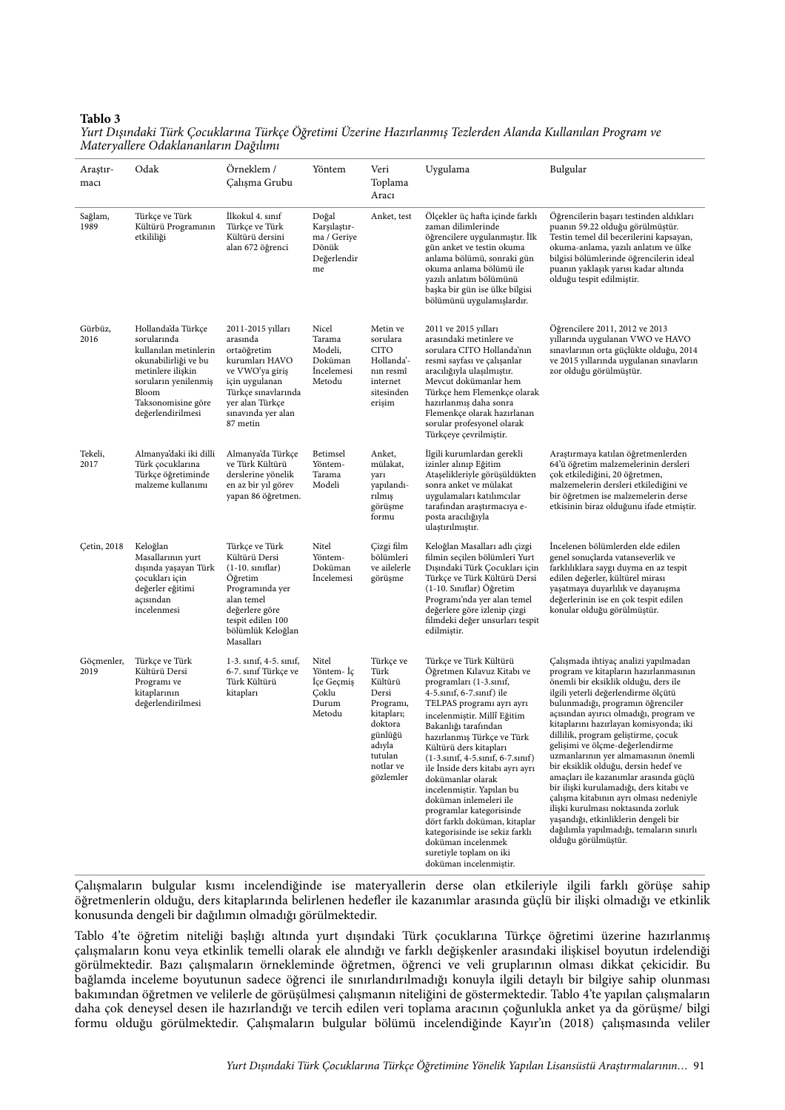#### **Tablo 3**

*Yurt Dı*ş*ındaki Türk Çocuklarına Türkçe Ö*ğ*retimi Üzerine Hazırlanmı*ş *Tezlerden Alanda Kullanılan Program ve Materyallere Odaklananların Da*ğ*ılımı*

| Araştır-<br>macı    | Odak                                                                                                                                                                                | Örneklem /<br>Çalışma Grubu                                                                                                                                                     | Yöntem                                                             | Veri<br>Toplama<br>Aracı                                                                                                              | Uygulama                                                                                                                                                                                                                                                                                                                                                                                                                                                                                                                                                                                     | Bulgular                                                                                                                                                                                                                                                                                                                                                                                                                                                                                                                                                                                                                                                                                                                        |
|---------------------|-------------------------------------------------------------------------------------------------------------------------------------------------------------------------------------|---------------------------------------------------------------------------------------------------------------------------------------------------------------------------------|--------------------------------------------------------------------|---------------------------------------------------------------------------------------------------------------------------------------|----------------------------------------------------------------------------------------------------------------------------------------------------------------------------------------------------------------------------------------------------------------------------------------------------------------------------------------------------------------------------------------------------------------------------------------------------------------------------------------------------------------------------------------------------------------------------------------------|---------------------------------------------------------------------------------------------------------------------------------------------------------------------------------------------------------------------------------------------------------------------------------------------------------------------------------------------------------------------------------------------------------------------------------------------------------------------------------------------------------------------------------------------------------------------------------------------------------------------------------------------------------------------------------------------------------------------------------|
| Sağlam,<br>1989     | Türkçe ve Türk<br>Kültürü Programının<br>etkililiği                                                                                                                                 | İlkokul 4. sınıf<br>Türkçe ve Türk<br>Kültürü dersini<br>alan 672 öğrenci                                                                                                       | Doğal<br>Karşılaştır-<br>ma / Geriye<br>Dönük<br>Değerlendir<br>me | Anket, test                                                                                                                           | Ölçekler üç hafta içinde farklı<br>zaman dilimlerinde<br>öğrencilere uygulanmıştır. İlk<br>gün anket ve testin okuma<br>anlama bölümü, sonraki gün<br>okuma anlama bölümü ile<br>yazılı anlatım bölümünü<br>başka bir gün ise ülke bilgisi<br>bölümünü uygulamışlardır.                                                                                                                                                                                                                                                                                                                      | Öğrencilerin başarı testinden aldıkları<br>puanın 59.22 olduğu görülmüştür.<br>Testin temel dil becerilerini kapsayan,<br>okuma-anlama, yazılı anlatım ve ülke<br>bilgisi bölümlerinde öğrencilerin ideal<br>puanın yaklaşık yarısı kadar altında<br>olduğu tespit edilmiştir.                                                                                                                                                                                                                                                                                                                                                                                                                                                  |
| Gürbüz,<br>2016     | Hollanda'da Türkçe<br>sorularında<br>kullanılan metinlerin<br>okunabilirliği ve bu<br>metinlere ilişkin<br>soruların yenilenmiş<br>Bloom<br>Taksonomisine göre<br>değerlendirilmesi | 2011-2015 yılları<br>arasında<br>ortaöğretim<br>kurumları HAVO<br>ve VWO'ya giriş<br>için uygulanan<br>Türkçe sınavlarında<br>yer alan Türkçe<br>sınavında yer alan<br>87 metin | Nicel<br>Tarama<br>Modeli,<br>Doküman<br>Incelemesi<br>Metodu      | Metin ve<br>sorulara<br><b>CITO</b><br>Hollanda'-<br>nın resmî<br>internet<br>sitesinden<br>erişim                                    | 2011 ve 2015 yılları<br>arasındaki metinlere ve<br>sorulara CITO Hollanda'nın<br>resmi sayfası ve çalışanlar<br>aracılığıyla ulaşılmıştır.<br>Mevcut dokümanlar hem<br>Türkçe hem Flemenkçe olarak<br>hazırlanmış daha sonra<br>Flemenkçe olarak hazırlanan<br>sorular profesyonel olarak<br>Türkçeye çevrilmiştir.                                                                                                                                                                                                                                                                          | Öğrencilere 2011, 2012 ve 2013<br>yıllarında uygulanan VWO ve HAVO<br>sınavlarının orta güçlükte olduğu, 2014<br>ve 2015 yıllarında uygulanan sınavların<br>zor olduğu görülmüştür.                                                                                                                                                                                                                                                                                                                                                                                                                                                                                                                                             |
| Tekeli,<br>2017     | Almanya'daki iki dilli<br>Türk çocuklarına<br>Türkçe öğretiminde<br>malzeme kullanımı                                                                                               | Almanya'da Türkçe<br>ve Türk Kültürü<br>derslerine yönelik<br>en az bir yıl görev<br>yapan 86 öğretmen.                                                                         | Betimsel<br>Yöntem-<br>Tarama<br>Modeli                            | Anket,<br>mülakat,<br>yarı<br>yapılandı-<br>rılmış<br>görüşme<br>formu                                                                | İlgili kurumlardan gerekli<br>izinler alınıp Eğitim<br>Ataşelikleriyle görüşüldükten<br>sonra anket ve mülakat<br>uygulamaları katılımcılar<br>tarafından araştırmacıya e-<br>posta aracılığıyla<br>ulaştırılmıştır.                                                                                                                                                                                                                                                                                                                                                                         | Araştırmaya katılan öğretmenlerden<br>64'ü öğretim malzemelerinin dersleri<br>çok etkilediğini, 20 öğretmen,<br>malzemelerin dersleri etkilediğini ve<br>bir öğretmen ise malzemelerin derse<br>etkisinin biraz olduğunu ifade etmiştir.                                                                                                                                                                                                                                                                                                                                                                                                                                                                                        |
| <b>Çetin</b> , 2018 | Keloğlan<br>Masallarının yurt<br>dışında yaşayan Türk<br>çocukları için<br>değerler eğitimi<br>açısından<br>incelenmesi                                                             | Türkçe ve Türk<br>Kültürü Dersi<br>$(1-10.$ siniflar)<br>Öğretim<br>Programında yer<br>alan temel<br>değerlere göre<br>tespit edilen 100<br>bölümlük Keloğlan<br>Masalları      | Nitel<br>Yöntem-<br>Doküman<br>Incelemesi                          | Çizgi film<br>bölümleri<br>ve ailelerle<br>görüşme                                                                                    | Keloğlan Masalları adlı çizgi<br>filmin seçilen bölümleri Yurt<br>Dışındaki Türk Çocukları için<br>Türkçe ve Türk Kültürü Dersi<br>(1-10. Siniflar) Öğretim<br>Programı'nda yer alan temel<br>değerlere göre izlenip çizgi<br>filmdeki değer unsurları tespit<br>edilmiştir.                                                                                                                                                                                                                                                                                                                 | Incelenen bölümlerden elde edilen<br>genel sonuçlarda vatanseverlik ve<br>farklılıklara saygı duyma en az tespit<br>edilen değerler, kültürel mirası<br>yaşatmaya duyarlılık ve dayanışma<br>değerlerinin ise en çok tespit edilen<br>konular olduğu görülmüştür.                                                                                                                                                                                                                                                                                                                                                                                                                                                               |
| Göçmenler,<br>2019  | Türkçe ve Türk<br>Kültürü Dersi<br>Programı ve<br>kitaplarının<br>değerlendirilmesi                                                                                                 | 1-3. sinif, 4-5. sinif,<br>6-7. sınıf Türkçe ve<br>Türk Kültürü<br>kitapları                                                                                                    | Nitel<br>Yöntem- Iç<br>Içe Geçmiş<br>Çoklu<br>Durum<br>Metodu      | Türkçe ve<br>Türk<br>Kültürü<br>Dersi<br>Programı,<br>kitapları;<br>doktora<br>günlüğü<br>adıyla<br>tutulan<br>notlar ve<br>gözlemler | Türkçe ve Türk Kültürü<br>Öğretmen Kılavuz Kitabı ve<br>programları (1-3.sinif,<br>4-5.sinif, 6-7.sinif) ile<br>TELPAS programı ayrı ayrı<br>incelenmiştir. Millî Eğitim<br>Bakanlığı tarafından<br>hazırlanmış Türkçe ve Türk<br>Kültürü ders kitapları<br>$(1-3.\sin f, 4-5.\sin f, 6-7.\sin f)$<br>ile İnside ders kitabı ayrı ayrı<br>dokümanlar olarak<br>incelenmiştir. Yapılan bu<br>doküman inlemeleri ile<br>programlar kategorisinde<br>dört farklı doküman, kitaplar<br>kategorisinde ise sekiz farklı<br>doküman incelenmek<br>suretiyle toplam on iki<br>doküman incelenmistir. | Çalışmada ihtiyaç analizi yapılmadan<br>program ve kitapların hazırlanmasının<br>önemli bir eksiklik olduğu, ders ile<br>ilgili yeterli değerlendirme ölçütü<br>bulunmadığı, programın öğrenciler<br>açısından ayırıcı olmadığı, program ve<br>kitaplarını hazırlayan komisyonda; iki<br>dillilik, program geliştirme, çocuk<br>gelişimi ve ölçme-değerlendirme<br>uzmanlarının yer almamasının önemli<br>bir eksiklik olduğu, dersin hedef ve<br>amaçları ile kazanımlar arasında güçlü<br>bir ilişki kurulamadığı, ders kitabı ve<br>çalışma kitabının ayrı olması nedeniyle<br>ilişki kurulması noktasında zorluk<br>yaşandığı, etkinliklerin dengeli bir<br>dağılımla yapılmadığı, temaların sınırlı<br>olduğu görülmüştür. |

Çalışmaların bulgular kısmı incelendiğinde ise materyallerin derse olan etkileriyle ilgili farklı görüşe sahip öğretmenlerin olduğu, ders kitaplarında belirlenen hedefler ile kazanımlar arasında güçlü bir ilişki olmadığı ve etkinlik konusunda dengeli bir dağılımın olmadığı görülmektedir.

Tablo 4'te öğretim niteliği başlığı altında yurt dışındaki Türk çocuklarına Türkçe öğretimi üzerine hazırlanmış çalışmaların konu veya etkinlik temelli olarak ele alındığı ve farklı değişkenler arasındaki ilişkisel boyutun irdelendiği görülmektedir. Bazı çalışmaların örnekleminde öğretmen, öğrenci ve veli gruplarının olması dikkat çekicidir. Bu bağlamda inceleme boyutunun sadece öğrenci ile sınırlandırılmadığı konuyla ilgili detaylı bir bilgiye sahip olunması bakımından öğretmen ve velilerle de görüşülmesi çalışmanın niteliğini de göstermektedir. Tablo 4'te yapılan çalışmaların daha çok deneysel desen ile hazırlandığı ve tercih edilen veri toplama aracının çoğunlukla anket ya da görüşme/ bilgi formu olduğu görülmektedir. Çalışmaların bulgular bölümü incelendiğinde Kayır'ın (2018) çalışmasında veliler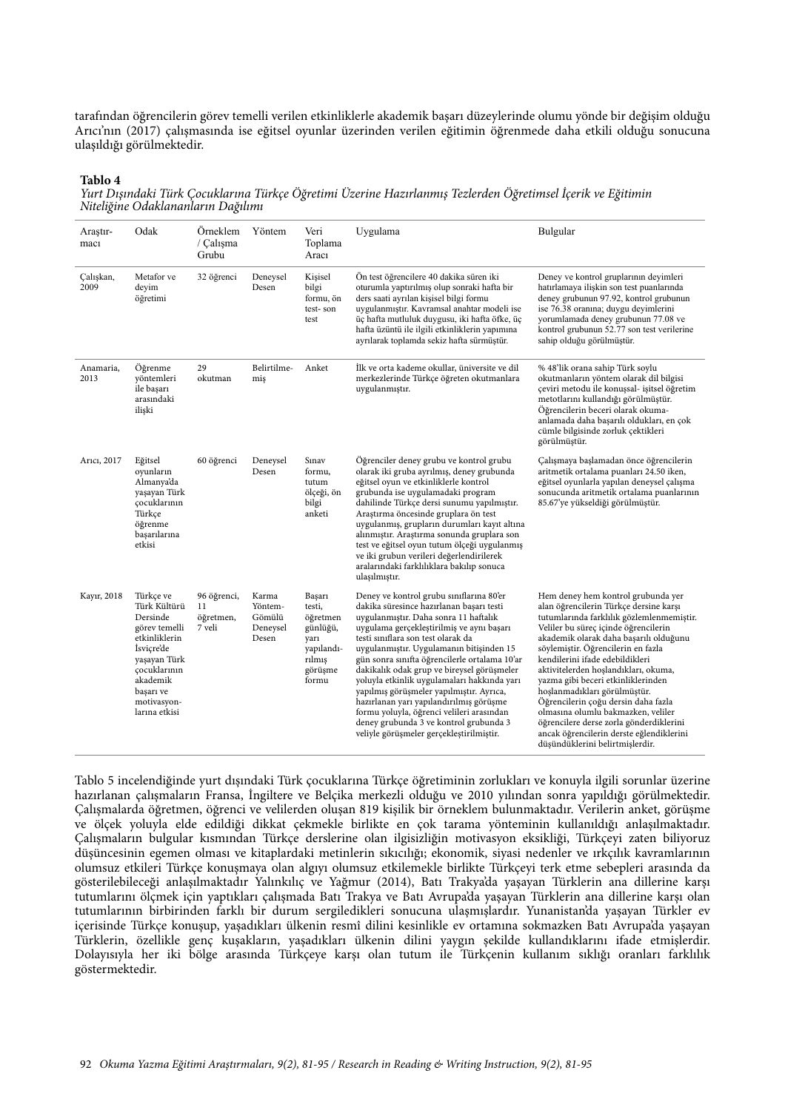tarafından öğrencilerin görev temelli verilen etkinliklerle akademik başarı düzeylerinde olumu yönde bir değişim olduğu Arıcı'nın (2017) çalışmasında ise eğitsel oyunlar üzerinden verilen eğitimin öğrenmede daha etkili olduğu sonucuna ulaşıldığı görülmektedir.

#### **Tablo 4**

*Yurt Dı*ş*ındaki Türk Çocuklarına Türkçe Ö*ğ*retimi Üzerine Hazırlanmı*ş *Tezlerden Ö*ğ*retimsel* İ*çerik ve E*ğ*itimin Niteli*ğ*ine Odaklananların Da*ğ*ılımı*

| Araştır-<br>macı  | Odak                                                                                                                                                                           | Örneklem<br>/ Calisma<br>Grubu           | Yöntem                                          | Veri<br>Toplama<br>Aracı                                                                     | Uygulama                                                                                                                                                                                                                                                                                                                                                                                                                                                                                                                                                                                                                             | Bulgular                                                                                                                                                                                                                                                                                                                                                                                                                                                                                                                                                                                                  |
|-------------------|--------------------------------------------------------------------------------------------------------------------------------------------------------------------------------|------------------------------------------|-------------------------------------------------|----------------------------------------------------------------------------------------------|--------------------------------------------------------------------------------------------------------------------------------------------------------------------------------------------------------------------------------------------------------------------------------------------------------------------------------------------------------------------------------------------------------------------------------------------------------------------------------------------------------------------------------------------------------------------------------------------------------------------------------------|-----------------------------------------------------------------------------------------------------------------------------------------------------------------------------------------------------------------------------------------------------------------------------------------------------------------------------------------------------------------------------------------------------------------------------------------------------------------------------------------------------------------------------------------------------------------------------------------------------------|
| Calışkan,<br>2009 | Metafor ve<br>deyim<br>öğretimi                                                                                                                                                | 32 öğrenci                               | Deneysel<br>Desen                               | Kisisel<br>bilgi<br>formu, ön<br>test-son<br>test                                            | Ön test öğrencilere 40 dakika süren iki<br>oturumla yaptırılmış olup sonraki hafta bir<br>ders saati ayrılan kişisel bilgi formu<br>uygulanmıştır. Kavramsal anahtar modeli ise<br>üç hafta mutluluk duygusu, iki hafta öfke, üç<br>hafta üzüntü ile ilgili etkinliklerin yapımına<br>ayrılarak toplamda sekiz hafta sürmüştür.                                                                                                                                                                                                                                                                                                      | Deney ve kontrol gruplarının deyimleri<br>hatırlamaya ilişkin son test puanlarında<br>deney grubunun 97.92, kontrol grubunun<br>ise 76.38 oranına; duygu deyimlerini<br>yorumlamada deney grubunun 77.08 ve<br>kontrol grubunun 52.77 son test verilerine<br>sahip olduğu görülmüştür.                                                                                                                                                                                                                                                                                                                    |
| Anamaria,<br>2013 | Öğrenme<br>yöntemleri<br>ile başarı<br>arasındaki<br>ilişki                                                                                                                    | 29<br>okutman                            | Belirtilme-<br>miş                              | Anket                                                                                        | İlk ve orta kademe okullar, üniversite ve dil<br>merkezlerinde Türkçe öğreten okutmanlara<br>uygulanmıştır.                                                                                                                                                                                                                                                                                                                                                                                                                                                                                                                          | % 48'lik orana sahip Türk soylu<br>okutmanların yöntem olarak dil bilgisi<br>çeviri metodu ile konuşsal- işitsel öğretim<br>metotlarını kullandığı görülmüştür.<br>Öğrencilerin beceri olarak okuma-<br>anlamada daha başarılı oldukları, en çok<br>cümle bilgisinde zorluk çektikleri<br>görülmüştür.                                                                                                                                                                                                                                                                                                    |
| Arici, 2017       | Eğitsel<br>oyunların<br>Almanya'da<br>yaşayan Türk<br>çocuklarının<br>Türkçe<br>öğrenme<br>basarılarına<br>etkisi                                                              | 60 öğrenci                               | Deneysel<br>Desen                               | Sinav<br>formu.<br>tutum<br>ölçeği, ön<br>bilgi<br>anketi                                    | Öğrenciler deney grubu ve kontrol grubu<br>olarak iki gruba ayrılmış, deney grubunda<br>eğitsel oyun ve etkinliklerle kontrol<br>grubunda ise uygulamadaki program<br>dahilinde Türkçe dersi sunumu yapılmıştır.<br>Araştırma öncesinde gruplara ön test<br>uygulanmış, grupların durumları kayıt altına<br>alınmıştır. Araştırma sonunda gruplara son<br>test ve eğitsel oyun tutum ölçeği uygulanmış<br>ve iki grubun verileri değerlendirilerek<br>aralarındaki farklılıklara bakılıp sonuca<br>ulaşılmıştır.                                                                                                                     | Çalışmaya başlamadan önce öğrencilerin<br>aritmetik ortalama puanları 24.50 iken,<br>eğitsel oyunlarla yapılan deneysel çalışma<br>sonucunda aritmetik ortalama puanlarının<br>85.67'ye yükseldiği görülmüştür.                                                                                                                                                                                                                                                                                                                                                                                           |
| Kayır, 2018       | Türkçe ve<br>Türk Kültürü<br>Dersinde<br>görev temelli<br>etkinliklerin<br>İsviçre'de<br>yaşayan Türk<br>cocuklarının<br>akademik<br>başarı ve<br>motivasyon-<br>larına etkisi | 96 öğrenci,<br>11<br>öğretmen,<br>7 veli | Karma<br>Yöntem-<br>Gömülü<br>Deneysel<br>Desen | Başarı<br>testi,<br>öğretmen<br>günlüğü,<br>yarı<br>yapılandı-<br>rılmış<br>görüşme<br>formu | Deney ve kontrol grubu sınıflarına 80'er<br>dakika süresince hazırlanan başarı testi<br>uygulanmıştır. Daha sonra 11 haftalık<br>uygulama gerçekleştirilmiş ve aynı başarı<br>testi sınıflara son test olarak da<br>uygulanmıştır. Uygulamanın bitişinden 15<br>gün sonra sınıfta öğrencilerle ortalama 10'ar<br>dakikalık odak grup ve bireysel görüşmeler<br>yoluyla etkinlik uygulamaları hakkında yarı<br>yapılmış görüşmeler yapılmıştır. Ayrıca,<br>hazırlanan yarı yapılandırılmış görüşme<br>formu yoluyla, öğrenci velileri arasından<br>deney grubunda 3 ve kontrol grubunda 3<br>veliyle görüşmeler gerçekleştirilmiştir. | Hem deney hem kontrol grubunda yer<br>alan öğrencilerin Türkçe dersine karşı<br>tutumlarında farklılık gözlemlenmemiştir.<br>Veliler bu süreç içinde öğrencilerin<br>akademik olarak daha başarılı olduğunu<br>söylemiştir. Öğrencilerin en fazla<br>kendilerini ifade edebildikleri<br>aktivitelerden hoşlandıkları, okuma,<br>yazma gibi beceri etkinliklerinden<br>hoşlanmadıkları görülmüştür.<br>Öğrencilerin çoğu dersin daha fazla<br>olmasına olumlu bakmazken, veliler<br>öğrencilere derse zorla gönderdiklerini<br>ancak öğrencilerin derste eğlendiklerini<br>düşündüklerini belirtmişlerdir. |

Tablo 5 incelendiğinde yurt dışındaki Türk çocuklarına Türkçe öğretiminin zorlukları ve konuyla ilgili sorunlar üzerine hazırlanan çalışmaların Fransa, İngiltere ve Belçika merkezli olduğu ve 2010 yılından sonra yapıldığı görülmektedir. Çalışmalarda öğretmen, öğrenci ve velilerden oluşan 819 kişilik bir örneklem bulunmaktadır. Verilerin anket, görüşme ve ölçek yoluyla elde edildiği dikkat çekmekle birlikte en çok tarama yönteminin kullanıldığı anlaşılmaktadır. Çalışmaların bulgular kısmından Türkçe derslerine olan ilgisizliğin motivasyon eksikliği, Türkçeyi zaten biliyoruz düşüncesinin egemen olması ve kitaplardaki metinlerin sıkıcılığı; ekonomik, siyasi nedenler ve ırkçılık kavramlarının olumsuz etkileri Türkçe konuşmaya olan algıyı olumsuz etkilemekle birlikte Türkçeyi terk etme sebepleri arasında da gösterilebileceği anlaşılmaktadır Yalınkılıç ve Yağmur (2014), Batı Trakya'da yaşayan Türklerin ana dillerine karşı tutumlarını ölçmek için yaptıkları çalışmada Batı Trakya ve Batı Avrupa'da yaşayan Türklerin ana dillerine karşı olan tutumlarının birbirinden farklı bir durum sergiledikleri sonucuna ulaşmışlardır. Yunanistan'da yaşayan Türkler ev içerisinde Türkçe konuşup, yaşadıkları ülkenin resmî dilini kesinlikle ev ortamına sokmazken Batı Avrupa'da yaşayan Türklerin, özellikle genç kuşakların, yaşadıkları ülkenin dilini yaygın şekilde kullandıklarını ifade etmişlerdir. Dolayısıyla her iki bölge arasında Türkçeye karşı olan tutum ile Türkçenin kullanım sıklığı oranları farklılık göstermektedir.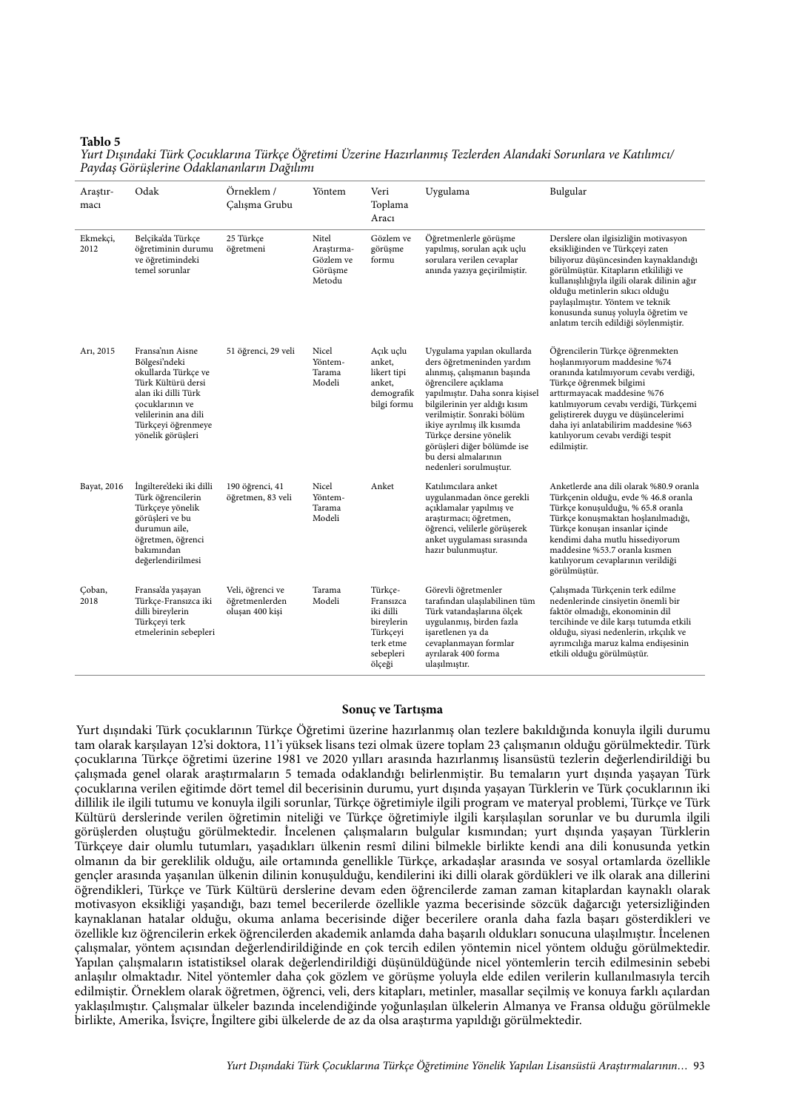#### **Tablo 5**

*Yurt Dı*ş*ındaki Türk Çocuklarına Türkçe Ö*ğ*retimi Üzerine Hazırlanmı*ş *Tezlerden Alandaki Sorunlara ve Katılımcı/ Payda*ş *Görü*ş*lerine Odaklananların Da*ğ*ılımı*

| Araştır-<br>macı | Odak                                                                                                                                                                                        | Örneklem /<br>Calışma Grubu                           | Yöntem                                                | Veri<br>Toplama<br>Aracı                                                                        | Uygulama                                                                                                                                                                                                                                                                                                                                                  | Bulgular                                                                                                                                                                                                                                                                                                                                                         |
|------------------|---------------------------------------------------------------------------------------------------------------------------------------------------------------------------------------------|-------------------------------------------------------|-------------------------------------------------------|-------------------------------------------------------------------------------------------------|-----------------------------------------------------------------------------------------------------------------------------------------------------------------------------------------------------------------------------------------------------------------------------------------------------------------------------------------------------------|------------------------------------------------------------------------------------------------------------------------------------------------------------------------------------------------------------------------------------------------------------------------------------------------------------------------------------------------------------------|
| Ekmekçi,<br>2012 | Belçika'da Türkçe<br>öğretiminin durumu<br>ve öğretimindeki<br>temel sorunlar                                                                                                               | 25 Türkçe<br>öğretmeni                                | Nitel<br>Arastırma-<br>Gözlem ve<br>Görüşme<br>Metodu | Gözlem ve<br>görüşme<br>formu                                                                   | Öğretmenlerle görüşme<br>yapılmış, sorulan açık uçlu<br>sorulara verilen cevaplar<br>anında yazıya geçirilmiştir.                                                                                                                                                                                                                                         | Derslere olan ilgisizliğin motivasyon<br>eksikliğinden ve Türkçeyi zaten<br>biliyoruz düşüncesinden kaynaklandığı<br>görülmüştür. Kitapların etkililiği ve<br>kullanışlılığıyla ilgili olarak dilinin ağır<br>olduğu metinlerin sıkıcı olduğu<br>paylaşılmıştır. Yöntem ve teknik<br>konusunda sunuş yoluyla öğretim ve<br>anlatım tercih edildiği söylenmiştir. |
| Ari, 2015        | Fransa'nın Aisne<br>Bölgesi'ndeki<br>okullarda Türkçe ve<br>Türk Kültürü dersi<br>alan iki dilli Türk<br>çocuklarının ve<br>velilerinin ana dili<br>Türkçeyi öğrenmeye<br>yönelik görüşleri | 51 öğrenci, 29 veli                                   | Nicel<br>Yöntem-<br>Tarama<br>Modeli                  | Açık uçlu<br>anket,<br>likert tipi<br>anket,<br>demografik<br>bilgi formu                       | Uygulama yapılan okullarda<br>ders öğretmeninden yardım<br>alınmış, çalışmanın başında<br>öğrencilere açıklama<br>yapılmıştır. Daha sonra kişisel<br>bilgilerinin yer aldığı kısım<br>verilmiştir. Sonraki bölüm<br>ikiye ayrılmış ilk kısımda<br>Türkçe dersine yönelik<br>görüşleri diğer bölümde ise<br>bu dersi almalarının<br>nedenleri sorulmuştur. | Öğrencilerin Türkçe öğrenmekten<br>hoslanmıyorum maddesine %74<br>oranında katılmıyorum cevabı verdiği,<br>Türkçe öğrenmek bilgimi<br>arttırmayacak maddesine %76<br>katılmıyorum cevabı verdiği, Türkçemi<br>geliştirerek duygu ve düşüncelerimi<br>daha iyi anlatabilirim maddesine %63<br>katılıyorum cevabı verdiği tespit<br>edilmiştir.                    |
| Bayat, 2016      | İngiltere'deki iki dilli<br>Türk öğrencilerin<br>Türkçeye yönelik<br>görüşleri ve bu<br>durumun aile,<br>öğretmen, öğrenci<br>bakımından<br>değerlendirilmesi                               | 190 öğrenci, 41<br>öğretmen, 83 veli                  | Nicel<br>Yöntem-<br>Tarama<br>Modeli                  | Anket                                                                                           | Katılımcılara anket<br>uygulanmadan önce gerekli<br>açıklamalar yapılmış ve<br>araştırmacı; öğretmen,<br>öğrenci, velilerle görüşerek<br>anket uygulaması sırasında<br>hazır bulunmuştur.                                                                                                                                                                 | Anketlerde ana dili olarak %80.9 oranla<br>Türkçenin olduğu, evde % 46.8 oranla<br>Türkçe konuşulduğu, % 65.8 oranla<br>Türkçe konuşmaktan hoşlanılmadığı,<br>Türkçe konuşan insanlar içinde<br>kendimi daha mutlu hissediyorum<br>maddesine %53.7 oranla kısmen<br>katılıyorum cevaplarının verildiği<br>görülmüştür.                                           |
| Çoban,<br>2018   | Fransa'da yaşayan<br>Türkçe-Fransızca iki<br>dilli bireylerin<br>Türkçeyi terk<br>etmelerinin sebepleri                                                                                     | Veli, öğrenci ve<br>öğretmenlerden<br>oluşan 400 kişi | Tarama<br>Modeli                                      | Türkce-<br>Fransızca<br>iki dilli<br>bireylerin<br>Türkçeyi<br>terk etme<br>sebepleri<br>ölçeği | Görevli öğretmenler<br>tarafından ulaşılabilinen tüm<br>Türk vatandaşlarına ölçek<br>uygulanmış, birden fazla<br>işaretlenen ya da<br>cevaplanmayan formlar<br>ayrılarak 400 forma<br>ulaşılmıştır.                                                                                                                                                       | Çalışmada Türkçenin terk edilme<br>nedenlerinde cinsiyetin önemli bir<br>faktör olmadığı, ekonominin dil<br>tercihinde ve dile karşı tutumda etkili<br>olduğu, siyasi nedenlerin, ırkçılık ve<br>ayrımcılığa maruz kalma endişesinin<br>etkili olduğu görülmüştür.                                                                                               |

#### **Sonuç ve Tartışma**

Yurt dışındaki Türk çocuklarının Türkçe Öğretimi üzerine hazırlanmış olan tezlere bakıldığında konuyla ilgili durumu tam olarak karşılayan 12'si doktora, 11'i yüksek lisans tezi olmak üzere toplam 23 çalışmanın olduğu görülmektedir. Türk çocuklarına Türkçe öğretimi üzerine 1981 ve 2020 yılları arasında hazırlanmış lisansüstü tezlerin değerlendirildiği bu çalışmada genel olarak araştırmaların 5 temada odaklandığı belirlenmiştir. Bu temaların yurt dışında yaşayan Türk çocuklarına verilen eğitimde dört temel dil becerisinin durumu, yurt dışında yaşayan Türklerin ve Türk çocuklarının iki dillilik ile ilgili tutumu ve konuyla ilgili sorunlar, Türkçe öğretimiyle ilgili program ve materyal problemi, Türkçe ve Türk Kültürü derslerinde verilen öğretimin niteliği ve Türkçe öğretimiyle ilgili karşılaşılan sorunlar ve bu durumla ilgili görüşlerden oluştuğu görülmektedir. İncelenen çalışmaların bulgular kısmından; yurt dışında yaşayan Türklerin Türkçeye dair olumlu tutumları, yaşadıkları ülkenin resmî dilini bilmekle birlikte kendi ana dili konusunda yetkin olmanın da bir gereklilik olduğu, aile ortamında genellikle Türkçe, arkadaşlar arasında ve sosyal ortamlarda özellikle gençler arasında yaşanılan ülkenin dilinin konuşulduğu, kendilerini iki dilli olarak gördükleri ve ilk olarak ana dillerini öğrendikleri, Türkçe ve Türk Kültürü derslerine devam eden öğrencilerde zaman zaman kitaplardan kaynaklı olarak motivasyon eksikliği yaşandığı, bazı temel becerilerde özellikle yazma becerisinde sözcük dağarcığı yetersizliğinden kaynaklanan hatalar olduğu, okuma anlama becerisinde diğer becerilere oranla daha fazla başarı gösterdikleri ve özellikle kız öğrencilerin erkek öğrencilerden akademik anlamda daha başarılı oldukları sonucuna ulaşılmıştır. İncelenen çalışmalar, yöntem açısından değerlendirildiğinde en çok tercih edilen yöntemin nicel yöntem olduğu görülmektedir. Yapılan çalışmaların istatistiksel olarak değerlendirildiği düşünüldüğünde nicel yöntemlerin tercih edilmesinin sebebi anlaşılır olmaktadır. Nitel yöntemler daha çok gözlem ve görüşme yoluyla elde edilen verilerin kullanılmasıyla tercih edilmiştir. Örneklem olarak öğretmen, öğrenci, veli, ders kitapları, metinler, masallar seçilmiş ve konuya farklı açılardan yaklaşılmıştır. Çalışmalar ülkeler bazında incelendiğinde yoğunlaşılan ülkelerin Almanya ve Fransa olduğu görülmekle birlikte, Amerika, İsviçre, İngiltere gibi ülkelerde de az da olsa araştırma yapıldığı görülmektedir.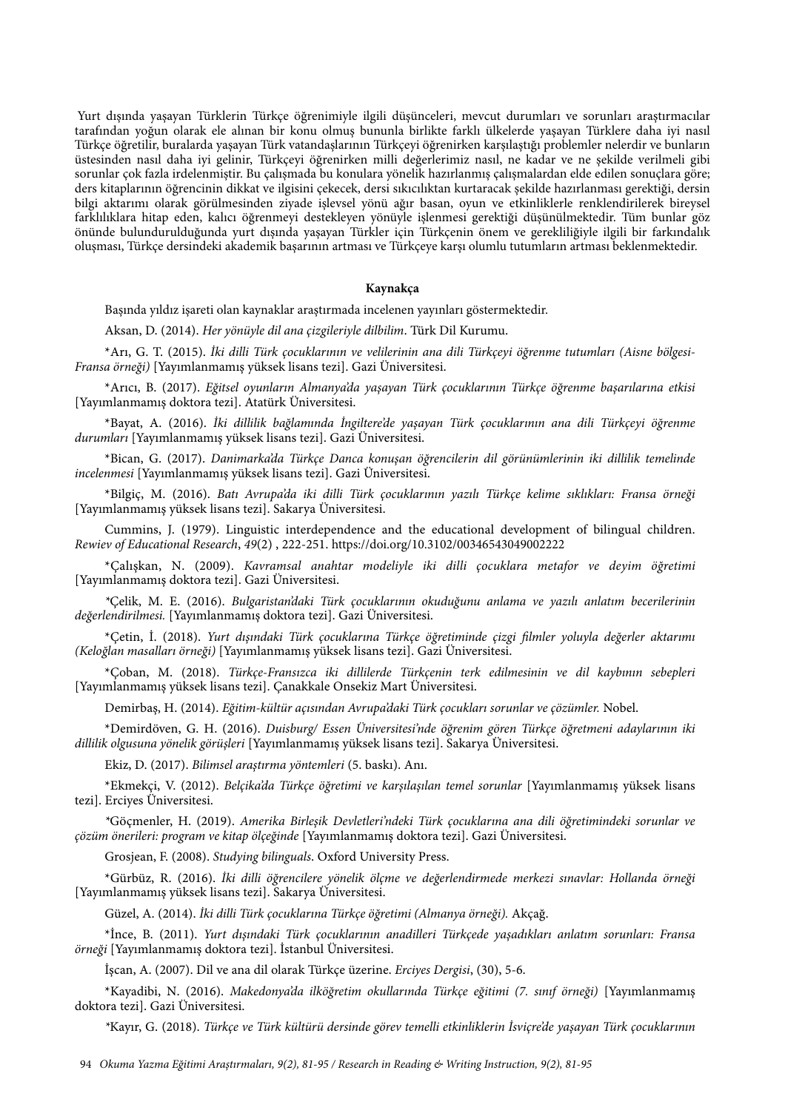Yurt dışında yaşayan Türklerin Türkçe öğrenimiyle ilgili düşünceleri, mevcut durumları ve sorunları araştırmacılar tarafından yoğun olarak ele alınan bir konu olmuş bununla birlikte farklı ülkelerde yaşayan Türklere daha iyi nasıl Türkçe öğretilir, buralarda yaşayan Türk vatandaşlarının Türkçeyi öğrenirken karşılaştığı problemler nelerdir ve bunların üstesinden nasıl daha iyi gelinir, Türkçeyi öğrenirken milli değerlerimiz nasıl, ne kadar ve ne şekilde verilmeli gibi sorunlar çok fazla irdelenmiştir. Bu çalışmada bu konulara yönelik hazırlanmış çalışmalardan elde edilen sonuçlara göre; ders kitaplarının öğrencinin dikkat ve ilgisini çekecek, dersi sıkıcılıktan kurtaracak şekilde hazırlanması gerektiği, dersin bilgi aktarımı olarak görülmesinden ziyade işlevsel yönü ağır basan, oyun ve etkinliklerle renklendirilerek bireysel farklılıklara hitap eden, kalıcı öğrenmeyi destekleyen yönüyle işlenmesi gerektiği düşünülmektedir. Tüm bunlar göz önünde bulundurulduğunda yurt dışında yaşayan Türkler için Türkçenin önem ve gerekliliğiyle ilgili bir farkındalık oluşması, Türkçe dersindeki akademik başarının artması ve Türkçeye karşı olumlu tutumların artması beklenmektedir.

#### **Kaynakça**

Başında yıldız işareti olan kaynaklar araştırmada incelenen yayınları göstermektedir.

Aksan, D. (2014). *Her yönüyle dil ana çizgileriyle dilbilim*. Türk Dil Kurumu.

\*Arı, G. T. (2015). İ*ki dilli Türk çocuklarının ve velilerinin ana dili Türkçeyi ö*ğ*renme tutumları (Aisne bölgesi-Fransa örne*ğ*i)* [Yayımlanmamış yüksek lisans tezi]. Gazi Üniversitesi.

\*Arıcı, B. (2017). *E*ğ*itsel oyunların Almanya'da ya*ş*ayan Türk çocuklarının Türkçe ö*ğ*renme ba*ş*arılarına etkisi* [Yayımlanmamış doktora tezi]. Atatürk Üniversitesi.

\*Bayat, A. (2016). İ*ki dillilik ba*ğ*lamında* İ*ngiltere'de ya*ş*ayan Türk çocuklarının ana dili Türkçeyi ö*ğ*renme durumları* [Yayımlanmamış yüksek lisans tezi]. Gazi Üniversitesi.

\*Bican, G. (2017). *Danimarka'da Türkçe Danca konu*ş*an ö*ğ*rencilerin dil görünümlerinin iki dillilik temelinde incelenmesi* [Yayımlanmamış yüksek lisans tezi]. Gazi Üniversitesi.

\*Bilgiç, M. (2016). *Batı Avrupa'da iki dilli Türk çocuklarının yazılı Türkçe kelime sıklıkları: Fransa örne*ğ*i* [Yayımlanmamış yüksek lisans tezi]. Sakarya Üniversitesi.

Cummins, J. (1979). Linguistic interdependence and the educational development of bilingual children. *Rewiev of Educational Research*, *49*(2) , 222-251. [https://doi.org/10.3102/00346543049002222](https://doi.org/10.3102%2F00346543049002222)

\*Çalışkan, N. (2009). *Kavramsal anahtar modeliyle iki dilli çocuklara metafor ve deyim ö*ğ*retimi* [Yayımlanmamış doktora tezi]. Gazi Üniversitesi.

*\**Çelik, M. E. (2016). *Bulgaristan'daki Türk çocuklarının okudu*ğ*unu anlama ve yazılı anlatım becerilerinin de*ğ*erlendirilmesi.* [Yayımlanmamış doktora tezi]. Gazi Üniversitesi.

\*Çetin, İ. (2018). *Yurt dı*ş*ındaki Türk çocuklarına Türkçe ö*ğ*retiminde çizgi* fi*lmler yoluyla de*ğ*erler aktarımı (Kelo*ğ*lan masalları örne*ğ*i)* [Yayımlanmamış yüksek lisans tezi]. Gazi Üniversitesi.

\*Çoban, M. (2018). *Türkçe-Fransızca iki dillilerde Türkçenin terk edilmesinin ve dil kaybının sebepleri* [Yayımlanmamış yüksek lisans tezi]. Çanakkale Onsekiz Mart Üniversitesi.

Demirbaş, H. (2014). *E*ğ*itim-kültür açısından Avrupa'daki Türk çocukları sorunlar ve çözümler.* Nobel.

\*Demirdöven, G. H. (2016). *Duisburg/ Essen Üniversitesi'nde ö*ğ*renim gören Türkçe ö*ğ*retmeni adaylarının iki dillilik olgusuna yönelik görü*ş*leri* [Yayımlanmamış yüksek lisans tezi]. Sakarya Üniversitesi.

Ekiz, D. (2017). *Bilimsel ara*ş*tırma yöntemleri* (5. baskı). Anı.

\*Ekmekçi, V. (2012). *Belçika'da Türkçe ö*ğ*retimi ve kar*ş*ıla*ş*ılan temel sorunlar* [Yayımlanmamış yüksek lisans tezi]. Erciyes Üniversitesi.

*\**Göçmenler, H. (2019). *Amerika Birle*ş*ik Devletleri'ndeki Türk çocuklarına ana dili ö*ğ*retimindeki sorunlar ve çözüm önerileri: program ve kitap ölçe*ğ*inde* [Yayımlanmamış doktora tezi]. Gazi Üniversitesi.

Grosjean, F. (2008). *Studying bilinguals*. Oxford University Press.

\*Gürbüz, R. (2016). İ*ki dilli ö*ğ*rencilere yönelik ölçme ve de*ğ*erlendirmede merkezi sınavlar: Hollanda örne*ğ*i*  [Yayımlanmamış yüksek lisans tezi]. Sakarya Üniversitesi.

Güzel, A. (2014). İ*ki dilli Türk çocuklarına Türkçe ö*ğ*retimi (Almanya örne*ğ*i).* Akçağ.

\*İnce, B. (2011). *Yurt dı*ş*ındaki Türk çocuklarının anadilleri Türkçede ya*ş*adıkları anlatım sorunları: Fransa örne*ğ*i* [Yayımlanmamış doktora tezi]. İstanbul Üniversitesi.

İşcan, A. (2007). Dil ve ana dil olarak Türkçe üzerine. *Erciyes Dergisi*, (30), 5-6.

\*Kayadibi, N. (2016). *Makedonya'da ilkö*ğ*retim okullarında Türkçe e*ğ*itimi (7. sınıf örne*ğ*i)* [Yayımlanmamış doktora tezi]. Gazi Üniversitesi.

*\**Kayır, G. (2018). *Türkçe ve Türk kültürü dersinde görev temelli etkinliklerin* İ*sviçre'de ya*ş*ayan Türk çocuklarının*